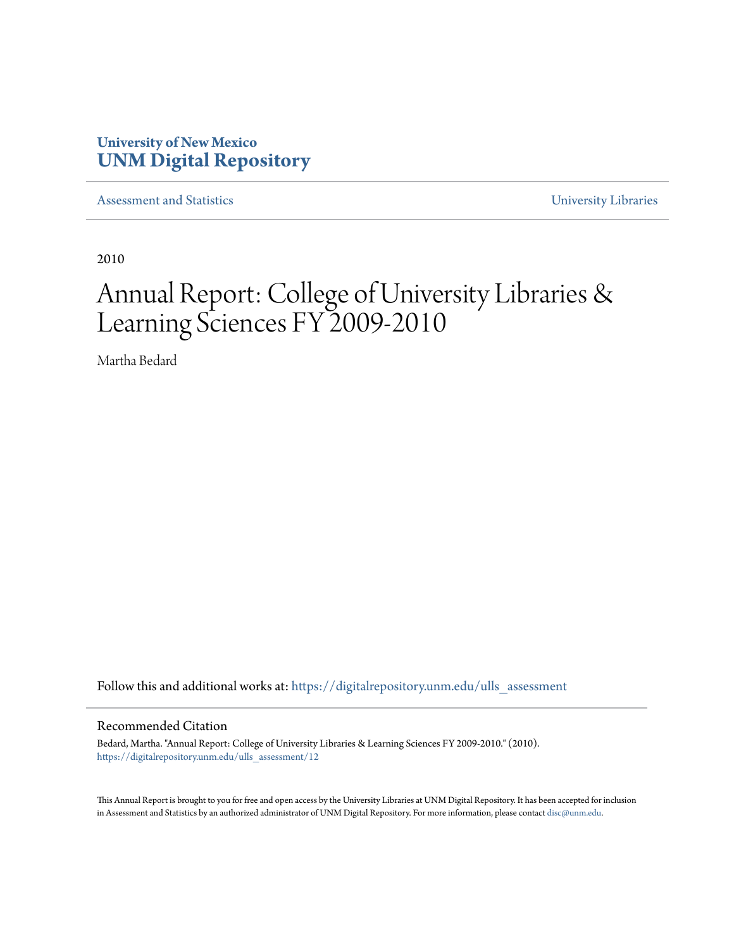# **University of New Mexico [UNM Digital Repository](https://digitalrepository.unm.edu?utm_source=digitalrepository.unm.edu%2Fulls_assessment%2F12&utm_medium=PDF&utm_campaign=PDFCoverPages)**

[Assessment and Statistics](https://digitalrepository.unm.edu/ulls_assessment?utm_source=digitalrepository.unm.edu%2Fulls_assessment%2F12&utm_medium=PDF&utm_campaign=PDFCoverPages) [University Libraries](https://digitalrepository.unm.edu/libraries?utm_source=digitalrepository.unm.edu%2Fulls_assessment%2F12&utm_medium=PDF&utm_campaign=PDFCoverPages)

2010

# Annual Report: College of University Libraries & Learning Sciences FY 2009-2010

Martha Bedard

Follow this and additional works at: [https://digitalrepository.unm.edu/ulls\\_assessment](https://digitalrepository.unm.edu/ulls_assessment?utm_source=digitalrepository.unm.edu%2Fulls_assessment%2F12&utm_medium=PDF&utm_campaign=PDFCoverPages)

#### Recommended Citation

Bedard, Martha. "Annual Report: College of University Libraries & Learning Sciences FY 2009-2010." (2010). [https://digitalrepository.unm.edu/ulls\\_assessment/12](https://digitalrepository.unm.edu/ulls_assessment/12?utm_source=digitalrepository.unm.edu%2Fulls_assessment%2F12&utm_medium=PDF&utm_campaign=PDFCoverPages)

This Annual Report is brought to you for free and open access by the University Libraries at UNM Digital Repository. It has been accepted for inclusion in Assessment and Statistics by an authorized administrator of UNM Digital Repository. For more information, please contact [disc@unm.edu.](mailto:disc@unm.edu)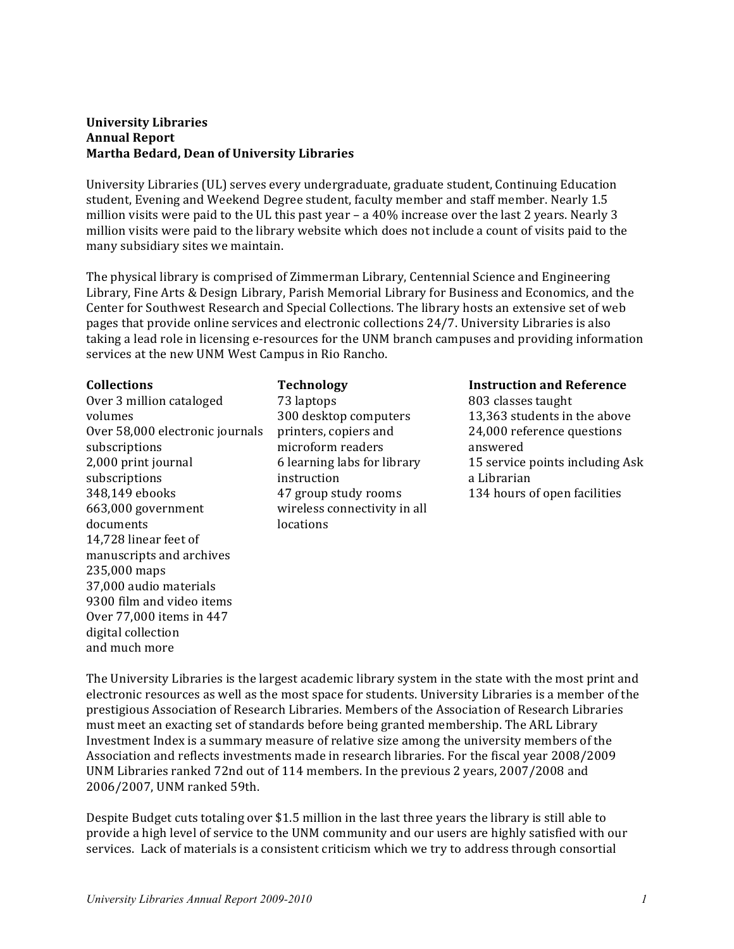#### **University Libraries Annual Report Martha Bedard, Dean of University Libraries**

University Libraries (UL) serves every undergraduate, graduate student, Continuing Education student, Evening and Weekend Degree student, faculty member and staff member. Nearly 1.5 million visits were paid to the UL this past year  $-$  a 40% increase over the last 2 years. Nearly 3 million visits were paid to the library website which does not include a count of visits paid to the many subsidiary sites we maintain.

The physical library is comprised of Zimmerman Library, Centennial Science and Engineering Library, Fine Arts & Design Library, Parish Memorial Library for Business and Economics, and the Center for Southwest Research and Special Collections. The library hosts an extensive set of web pages that provide online services and electronic collections 24/7. University Libraries is also taking a lead role in licensing e-resources for the UNM branch campuses and providing information services at the new UNM West Campus in Rio Rancho.

# **Collections** Over 3 million cataloged volumes Over 58,000 electronic journals subscriptions 2,000 print journal subscriptions 348,149 ebooks 663,000 government documents 14.728 linear feet of manuscripts and archives 235,000 maps 37,000 audio materials 9300 film and video items Over 77,000 items in 447 digital collection and much more

**Technology** 73 laptops 300 desktop computers printers, copiers and microform readers 6 learning labs for library instruction 47 group study rooms wireless connectivity in all locations

# **Instruction and Reference**

803 classes taught 13,363 students in the above 24,000 reference questions answered 15 service points including Ask a Librarian 134 hours of open facilities

The University Libraries is the largest academic library system in the state with the most print and electronic resources as well as the most space for students. University Libraries is a member of the prestigious Association of Research Libraries. Members of the Association of Research Libraries must meet an exacting set of standards before being granted membership. The ARL Library Investment Index is a summary measure of relative size among the university members of the Association and reflects investments made in research libraries. For the fiscal year 2008/2009 UNM Libraries ranked 72nd out of 114 members. In the previous 2 years, 2007/2008 and 2006/2007, UNM ranked 59th.

Despite Budget cuts totaling over  $$1.5$  million in the last three years the library is still able to provide a high level of service to the UNM community and our users are highly satisfied with our services. Lack of materials is a consistent criticism which we try to address through consortial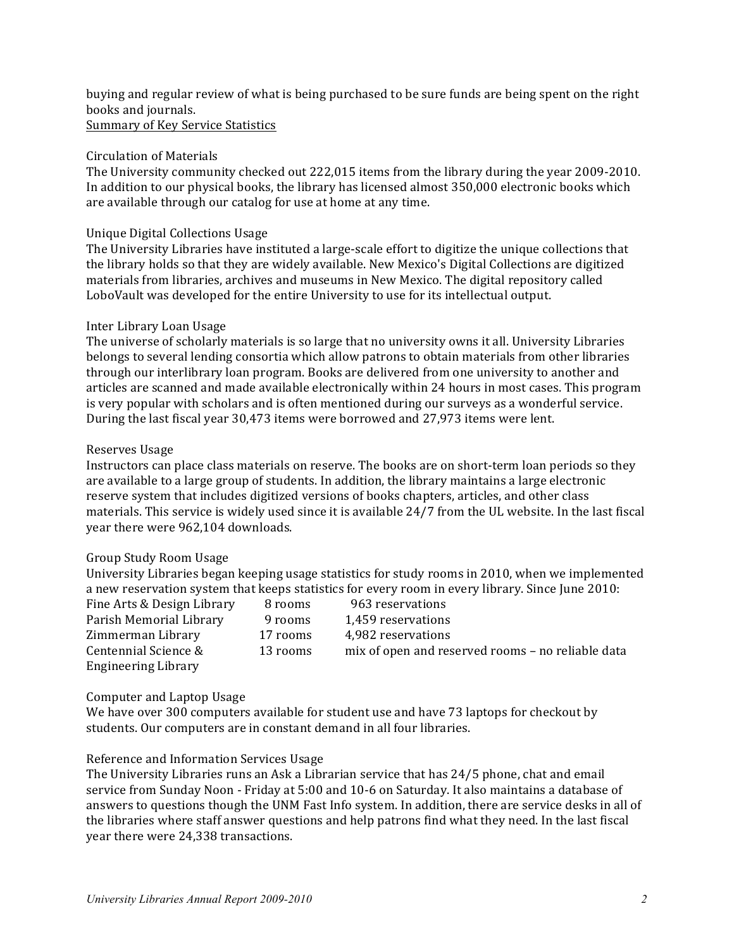buying and regular review of what is being purchased to be sure funds are being spent on the right books and journals.

Summary of Key Service Statistics

#### Circulation of Materials

The University community checked out 222,015 items from the library during the year 2009-2010. In addition to our physical books, the library has licensed almost 350,000 electronic books which are available through our catalog for use at home at any time.

# Unique Digital Collections Usage

The University Libraries have instituted a large-scale effort to digitize the unique collections that the library holds so that they are widely available. New Mexico's Digital Collections are digitized materials from libraries, archives and museums in New Mexico. The digital repository called LoboVault was developed for the entire University to use for its intellectual output.

# Inter Library Loan Usage

The universe of scholarly materials is so large that no university owns it all. University Libraries belongs to several lending consortia which allow patrons to obtain materials from other libraries through our interlibrary loan program. Books are delivered from one university to another and articles are scanned and made available electronically within 24 hours in most cases. This program is very popular with scholars and is often mentioned during our surveys as a wonderful service. During the last fiscal year 30,473 items were borrowed and 27,973 items were lent.

# Reserves Usage

Instructors can place class materials on reserve. The books are on short-term loan periods so they are available to a large group of students. In addition, the library maintains a large electronic reserve system that includes digitized versions of books chapters, articles, and other class materials. This service is widely used since it is available 24/7 from the UL website. In the last fiscal year there were 962,104 downloads.

# Group Study Room Usage

University Libraries began keeping usage statistics for study rooms in 2010, when we implemented a new reservation system that keeps statistics for every room in every library. Since June 2010:

| Fine Arts & Design Library | 8 rooms  | 963 reservations                                  |
|----------------------------|----------|---------------------------------------------------|
| Parish Memorial Library    | 9 rooms  | 1,459 reservations                                |
| Zimmerman Library          | 17 rooms | 4,982 reservations                                |
| Centennial Science &       | 13 rooms | mix of open and reserved rooms – no reliable data |
| <b>Engineering Library</b> |          |                                                   |

# Computer and Laptop Usage

We have over 300 computers available for student use and have 73 laptops for checkout by students. Our computers are in constant demand in all four libraries.

# Reference and Information Services Usage

The University Libraries runs an Ask a Librarian service that has  $24/5$  phone, chat and email service from Sunday Noon - Friday at 5:00 and 10-6 on Saturday. It also maintains a database of answers to questions though the UNM Fast Info system. In addition, there are service desks in all of the libraries where staff answer questions and help patrons find what they need. In the last fiscal year there were 24,338 transactions.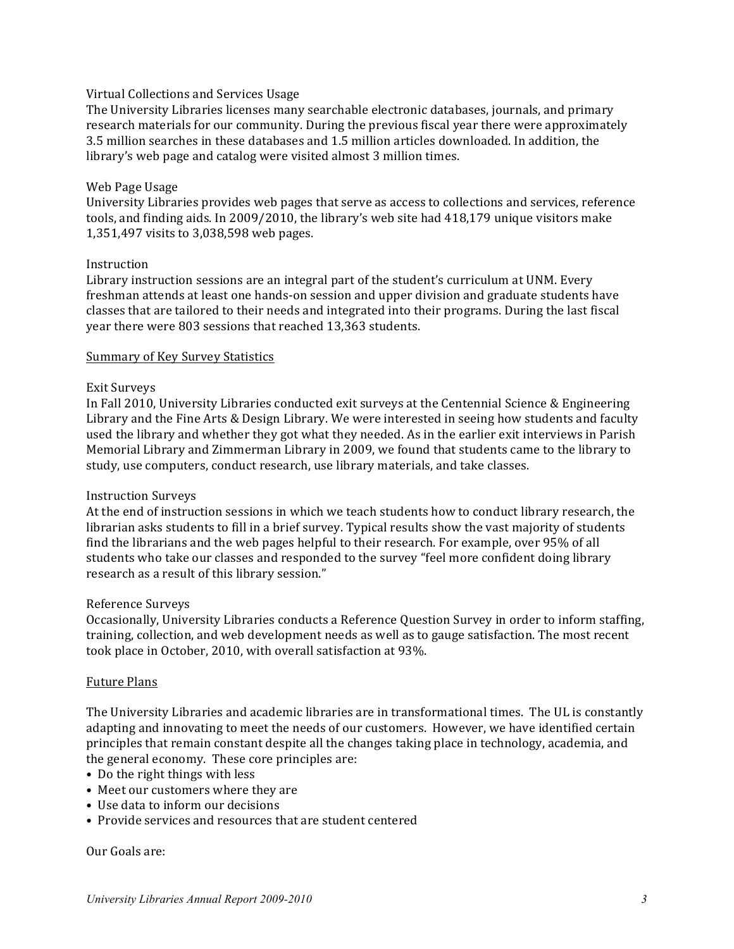#### Virtual Collections and Services Usage

The University Libraries licenses many searchable electronic databases, journals, and primary research materials for our community. During the previous fiscal year there were approximately 3.5 million searches in these databases and 1.5 million articles downloaded. In addition, the library's web page and catalog were visited almost 3 million times.

#### Web Page Usage

University Libraries provides web pages that serve as access to collections and services, reference tools, and finding aids. In 2009/2010, the library's web site had 418,179 unique visitors make 1,351,497 visits to 3,038,598 web pages.

#### Instruction

Library instruction sessions are an integral part of the student's curriculum at UNM. Every freshman attends at least one hands-on session and upper division and graduate students have classes that are tailored to their needs and integrated into their programs. During the last fiscal year there were 803 sessions that reached 13,363 students.

#### Summary of Key Survey Statistics

#### Exit Surveys

In Fall 2010, University Libraries conducted exit surveys at the Centennial Science & Engineering Library and the Fine Arts & Design Library. We were interested in seeing how students and faculty used the library and whether they got what they needed. As in the earlier exit interviews in Parish Memorial Library and Zimmerman Library in 2009, we found that students came to the library to study, use computers, conduct research, use library materials, and take classes.

#### Instruction Surveys

At the end of instruction sessions in which we teach students how to conduct library research, the librarian asks students to fill in a brief survey. Typical results show the vast majority of students find the librarians and the web pages helpful to their research. For example, over 95% of all students who take our classes and responded to the survey "feel more confident doing library research as a result of this library session."

#### Reference Surveys

Occasionally, University Libraries conducts a Reference Question Survey in order to inform staffing, training, collection, and web development needs as well as to gauge satisfaction. The most recent took place in October, 2010, with overall satisfaction at 93%.

#### **Future Plans**

The University Libraries and academic libraries are in transformational times. The UL is constantly adapting and innovating to meet the needs of our customers. However, we have identified certain principles that remain constant despite all the changes taking place in technology, academia, and the general economy. These core principles are:

- Do the right things with less
- Meet our customers where they are
- Use data to inform our decisions
- Provide services and resources that are student centered

#### Our Goals are: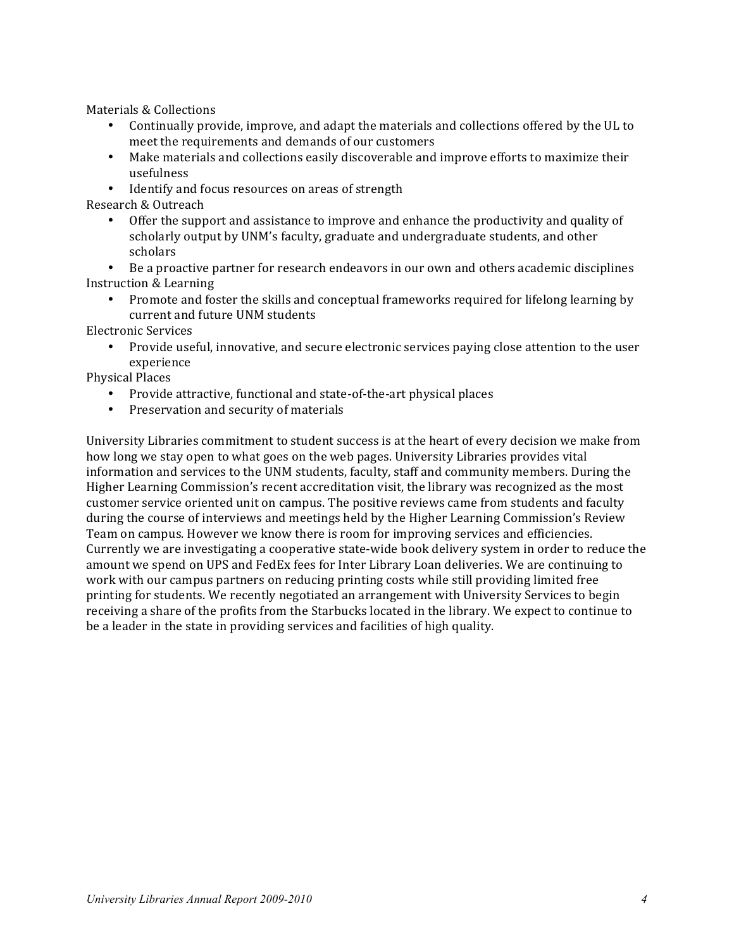Materials & Collections

- Continually provide, improve, and adapt the materials and collections offered by the UL to meet the requirements and demands of our customers
- Make materials and collections easily discoverable and improve efforts to maximize their usefulness
- Identify and focus resources on areas of strength

Research & Outreach

Offer the support and assistance to improve and enhance the productivity and quality of scholarly output by UNM's faculty, graduate and undergraduate students, and other scholars

• Be a proactive partner for research endeavors in our own and others academic disciplines Instruction & Learning

• Promote and foster the skills and conceptual frameworks required for lifelong learning by current and future UNM students

Electronic Services

Provide useful, innovative, and secure electronic services paying close attention to the user experience

Physical Places

- Provide attractive, functional and state-of-the-art physical places
- Preservation and security of materials

University Libraries commitment to student success is at the heart of every decision we make from how long we stay open to what goes on the web pages. University Libraries provides vital information and services to the UNM students, faculty, staff and community members. During the Higher Learning Commission's recent accreditation visit, the library was recognized as the most customer service oriented unit on campus. The positive reviews came from students and faculty during the course of interviews and meetings held by the Higher Learning Commission's Review Team on campus. However we know there is room for improving services and efficiencies. Currently we are investigating a cooperative state-wide book delivery system in order to reduce the amount we spend on UPS and FedEx fees for Inter Library Loan deliveries. We are continuing to work with our campus partners on reducing printing costs while still providing limited free printing for students. We recently negotiated an arrangement with University Services to begin receiving a share of the profits from the Starbucks located in the library. We expect to continue to be a leader in the state in providing services and facilities of high quality.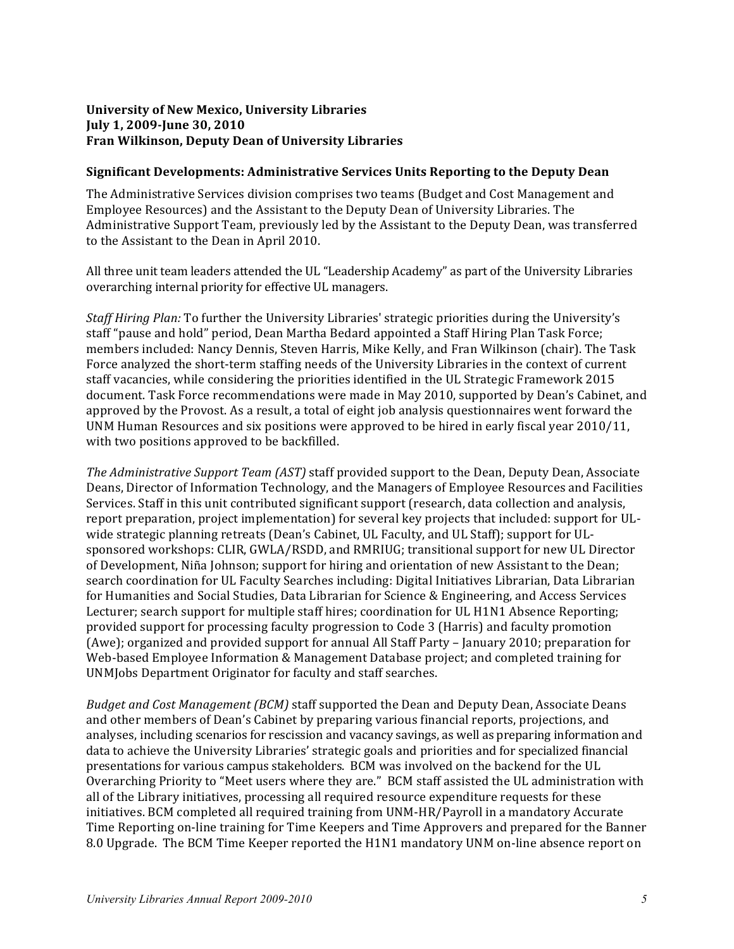# **University of New Mexico, University Libraries July 1, 2009-June 30, 2010 Fran Wilkinson, Deputy Dean of University Libraries**

# **Significant Developments: Administrative Services Units Reporting to the Deputy Dean**

The Administrative Services division comprises two teams (Budget and Cost Management and Employee Resources) and the Assistant to the Deputy Dean of University Libraries. The Administrative Support Team, previously led by the Assistant to the Deputy Dean, was transferred to the Assistant to the Dean in April 2010.

All three unit team leaders attended the UL "Leadership Academy" as part of the University Libraries overarching internal priority for effective UL managers.

*Staff Hiring Plan:* To further the University Libraries' strategic priorities during the University's staff "pause and hold" period, Dean Martha Bedard appointed a Staff Hiring Plan Task Force; members included: Nancy Dennis, Steven Harris, Mike Kelly, and Fran Wilkinson (chair). The Task Force analyzed the short-term staffing needs of the University Libraries in the context of current staff vacancies, while considering the priorities identified in the UL Strategic Framework 2015 document. Task Force recommendations were made in May 2010, supported by Dean's Cabinet, and approved by the Provost. As a result, a total of eight iob analysis questionnaires went forward the UNM Human Resources and six positions were approved to be hired in early fiscal year  $2010/11$ , with two positions approved to be backfilled.

*The Administrative Support Team (AST)* staff provided support to the Dean, Deputy Dean, Associate Deans, Director of Information Technology, and the Managers of Employee Resources and Facilities Services. Staff in this unit contributed significant support (research, data collection and analysis, report preparation, project implementation) for several key projects that included: support for ULwide strategic planning retreats (Dean's Cabinet, UL Faculty, and UL Staff); support for ULsponsored workshops: CLIR, GWLA/RSDD, and RMRIUG; transitional support for new UL Director of Development, Niña Johnson; support for hiring and orientation of new Assistant to the Dean; search coordination for UL Faculty Searches including: Digital Initiatives Librarian, Data Librarian for Humanities and Social Studies, Data Librarian for Science & Engineering, and Access Services Lecturer; search support for multiple staff hires; coordination for UL H1N1 Absence Reporting; provided support for processing faculty progression to Code 3 (Harris) and faculty promotion (Awe); organized and provided support for annual All Staff Party – January 2010; preparation for Web-based Employee Information & Management Database project; and completed training for UNMJobs Department Originator for faculty and staff searches.

*Budget and Cost Management (BCM)* staff supported the Dean and Deputy Dean, Associate Deans and other members of Dean's Cabinet by preparing various financial reports, projections, and analyses, including scenarios for rescission and vacancy savings, as well as preparing information and data to achieve the University Libraries' strategic goals and priorities and for specialized financial presentations for various campus stakeholders. BCM was involved on the backend for the UL Overarching Priority to "Meet users where they are." BCM staff assisted the UL administration with all of the Library initiatives, processing all required resource expenditure requests for these initiatives. BCM completed all required training from UNM-HR/Payroll in a mandatory Accurate Time Reporting on-line training for Time Keepers and Time Approvers and prepared for the Banner 8.0 Upgrade. The BCM Time Keeper reported the H1N1 mandatory UNM on-line absence report on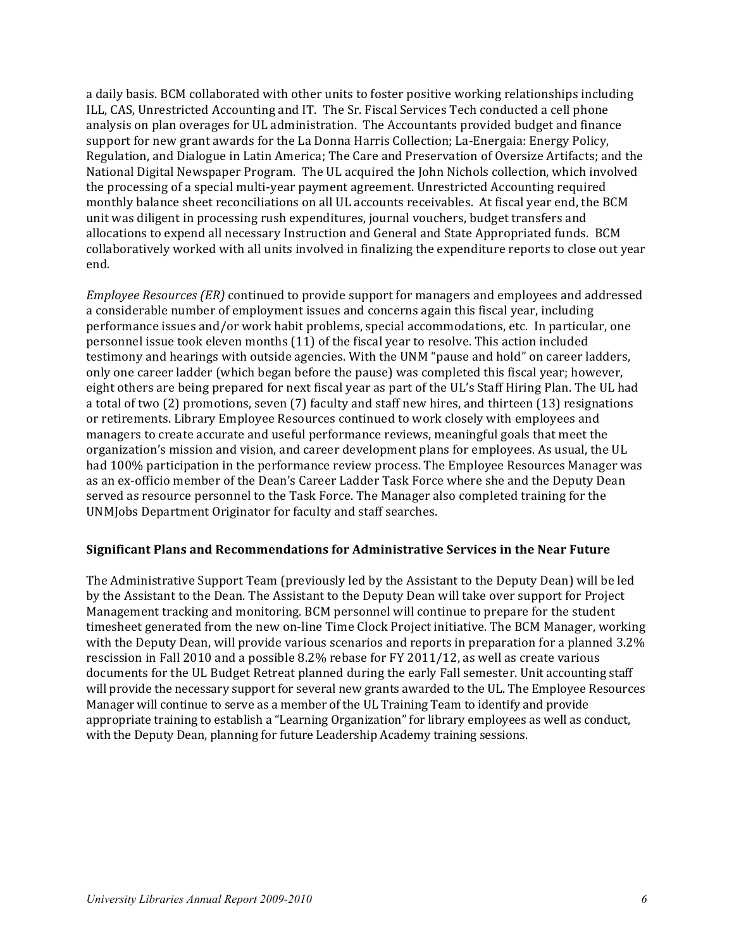a daily basis. BCM collaborated with other units to foster positive working relationships including ILL, CAS, Unrestricted Accounting and IT. The Sr. Fiscal Services Tech conducted a cell phone analysis on plan overages for UL administration. The Accountants provided budget and finance support for new grant awards for the La Donna Harris Collection; La-Energaia: Energy Policy, Regulation, and Dialogue in Latin America; The Care and Preservation of Oversize Artifacts; and the National Digital Newspaper Program. The UL acquired the John Nichols collection, which involved the processing of a special multi-year payment agreement. Unrestricted Accounting required monthly balance sheet reconciliations on all UL accounts receivables. At fiscal year end, the BCM unit was diligent in processing rush expenditures, journal vouchers, budget transfers and allocations to expend all necessary Instruction and General and State Appropriated funds. BCM collaboratively worked with all units involved in finalizing the expenditure reports to close out year end.

*Employee Resources (ER)* continued to provide support for managers and employees and addressed a considerable number of employment issues and concerns again this fiscal year, including performance issues and/or work habit problems, special accommodations, etc. In particular, one personnel issue took eleven months (11) of the fiscal year to resolve. This action included testimony and hearings with outside agencies. With the UNM "pause and hold" on career ladders, only one career ladder (which began before the pause) was completed this fiscal year; however, eight others are being prepared for next fiscal year as part of the UL's Staff Hiring Plan. The UL had a total of two  $(2)$  promotions, seven  $(7)$  faculty and staff new hires, and thirteen  $(13)$  resignations or retirements. Library Employee Resources continued to work closely with employees and managers to create accurate and useful performance reviews, meaningful goals that meet the organization's mission and vision, and career development plans for employees. As usual, the UL had 100% participation in the performance review process. The Employee Resources Manager was as an ex-officio member of the Dean's Career Ladder Task Force where she and the Deputy Dean served as resource personnel to the Task Force. The Manager also completed training for the UNMJobs Department Originator for faculty and staff searches.

#### **Significant Plans and Recommendations for Administrative Services in the Near Future**

The Administrative Support Team (previously led by the Assistant to the Deputy Dean) will be led by the Assistant to the Dean. The Assistant to the Deputy Dean will take over support for Project Management tracking and monitoring. BCM personnel will continue to prepare for the student timesheet generated from the new on-line Time Clock Project initiative. The BCM Manager, working with the Deputy Dean, will provide various scenarios and reports in preparation for a planned 3.2% rescission in Fall 2010 and a possible  $8.2\%$  rebase for FY 2011/12, as well as create various documents for the UL Budget Retreat planned during the early Fall semester. Unit accounting staff will provide the necessary support for several new grants awarded to the UL. The Employee Resources Manager will continue to serve as a member of the UL Training Team to identify and provide appropriate training to establish a "Learning Organization" for library employees as well as conduct, with the Deputy Dean, planning for future Leadership Academy training sessions.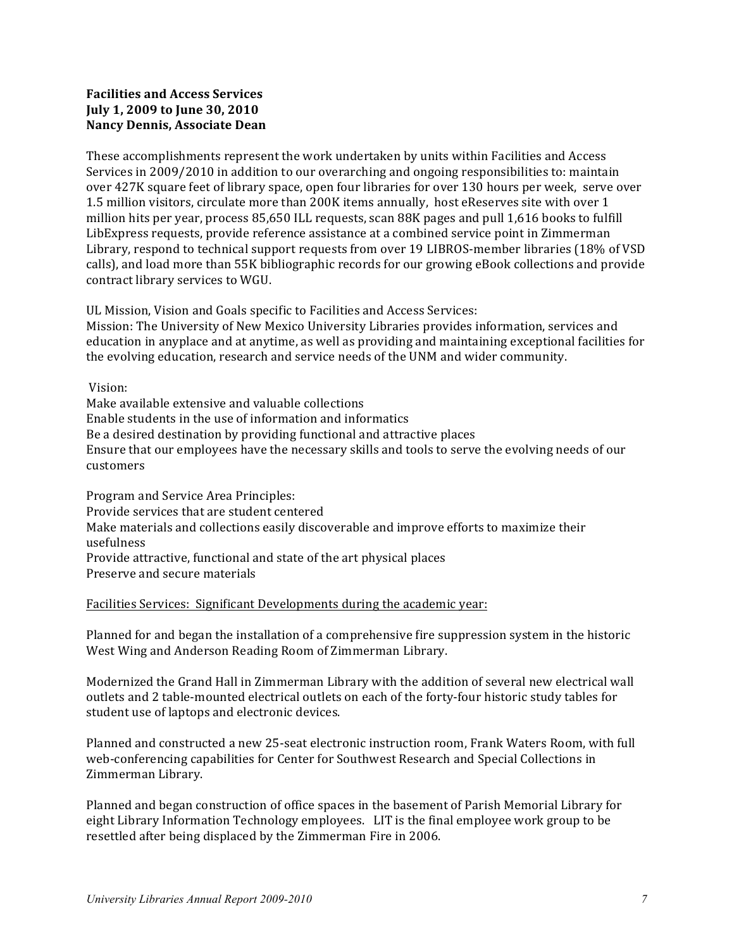# **Facilities and Access Services July 1, 2009 to June 30, 2010 Nancy Dennis, Associate Dean**

These accomplishments represent the work undertaken by units within Facilities and Access Services in 2009/2010 in addition to our overarching and ongoing responsibilities to: maintain over 427K square feet of library space, open four libraries for over 130 hours per week, serve over 1.5 million visitors, circulate more than 200K items annually, host eReserves site with over 1 million hits per year, process 85,650 ILL requests, scan 88K pages and pull 1,616 books to fulfill LibExpress requests, provide reference assistance at a combined service point in Zimmerman Library, respond to technical support requests from over 19 LIBROS-member libraries (18% of VSD) calls), and load more than 55K bibliographic records for our growing eBook collections and provide contract library services to WGU.

UL Mission, Vision and Goals specific to Facilities and Access Services:

Mission: The University of New Mexico University Libraries provides information, services and education in anyplace and at anytime, as well as providing and maintaining exceptional facilities for the evolving education, research and service needs of the UNM and wider community.

Vision: 

Make available extensive and valuable collections Enable students in the use of information and informatics Be a desired destination by providing functional and attractive places Ensure that our employees have the necessary skills and tools to serve the evolving needs of our customers

Program and Service Area Principles: Provide services that are student centered Make materials and collections easily discoverable and improve efforts to maximize their usefulness Provide attractive, functional and state of the art physical places Preserve and secure materials

#### Facilities Services: Significant Developments during the academic year:

Planned for and began the installation of a comprehensive fire suppression system in the historic West Wing and Anderson Reading Room of Zimmerman Library.

Modernized the Grand Hall in Zimmerman Library with the addition of several new electrical wall outlets and 2 table-mounted electrical outlets on each of the forty-four historic study tables for student use of laptops and electronic devices.

Planned and constructed a new 25-seat electronic instruction room, Frank Waters Room, with full web-conferencing capabilities for Center for Southwest Research and Special Collections in Zimmerman Library. 

Planned and began construction of office spaces in the basement of Parish Memorial Library for eight Library Information Technology employees. LIT is the final employee work group to be resettled after being displaced by the Zimmerman Fire in 2006.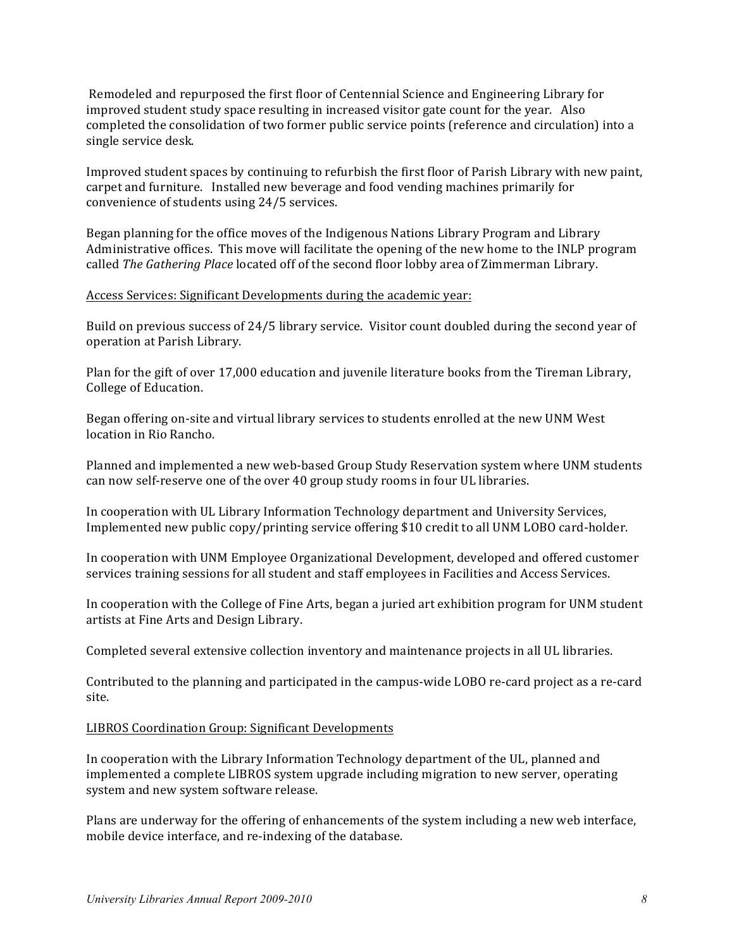Remodeled and repurposed the first floor of Centennial Science and Engineering Library for improved student study space resulting in increased visitor gate count for the year. Also completed the consolidation of two former public service points (reference and circulation) into a single service desk.

Improved student spaces by continuing to refurbish the first floor of Parish Library with new paint, carpet and furniture. Installed new beverage and food vending machines primarily for convenience of students using 24/5 services.

Began planning for the office moves of the Indigenous Nations Library Program and Library Administrative offices. This move will facilitate the opening of the new home to the INLP program called *The Gathering Place* located off of the second floor lobby area of Zimmerman Library.

#### Access Services: Significant Developments during the academic year:

Build on previous success of 24/5 library service. Visitor count doubled during the second year of operation at Parish Library.

Plan for the gift of over 17,000 education and juvenile literature books from the Tireman Library, College of Education.

Began offering on-site and virtual library services to students enrolled at the new UNM West location in Rio Rancho.

Planned and implemented a new web-based Group Study Reservation system where UNM students can now self-reserve one of the over 40 group study rooms in four UL libraries.

In cooperation with UL Library Information Technology department and University Services, Implemented new public copy/printing service offering \$10 credit to all UNM LOBO card-holder.

In cooperation with UNM Employee Organizational Development, developed and offered customer services training sessions for all student and staff employees in Facilities and Access Services.

In cooperation with the College of Fine Arts, began a juried art exhibition program for UNM student artists at Fine Arts and Design Library.

Completed several extensive collection inventory and maintenance projects in all UL libraries.

Contributed to the planning and participated in the campus-wide LOBO re-card project as a re-card site.

#### LIBROS Coordination Group: Significant Developments

In cooperation with the Library Information Technology department of the UL, planned and implemented a complete LIBROS system upgrade including migration to new server, operating system and new system software release.

Plans are underway for the offering of enhancements of the system including a new web interface, mobile device interface, and re-indexing of the database.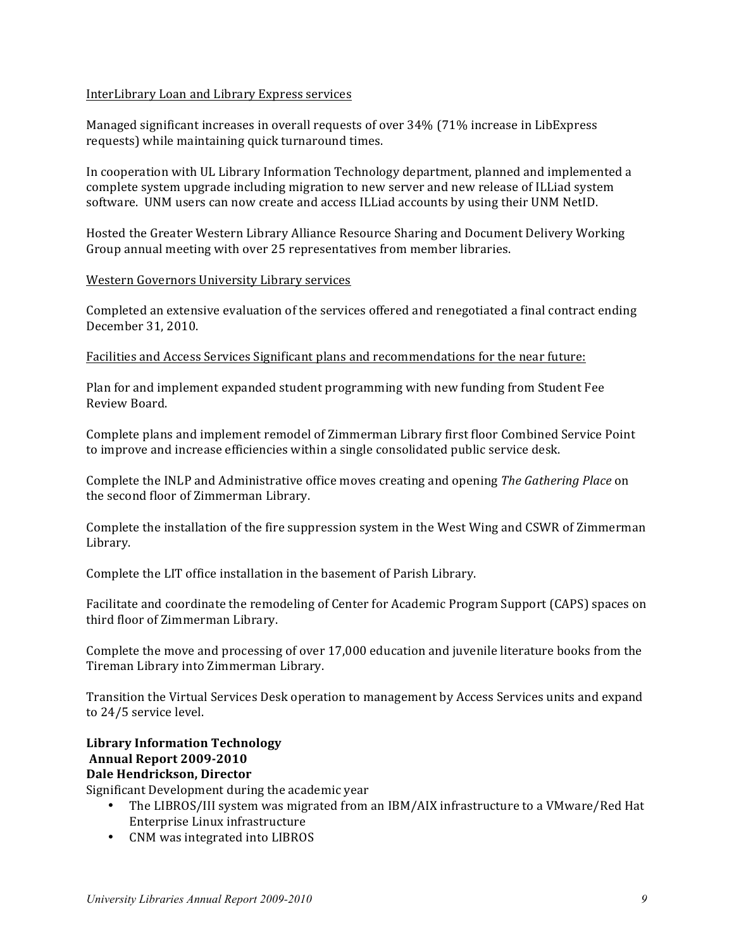# InterLibrary Loan and Library Express services

Managed significant increases in overall requests of over 34% (71% increase in LibExpress requests) while maintaining quick turnaround times.

In cooperation with UL Library Information Technology department, planned and implemented a complete system upgrade including migration to new server and new release of ILLiad system software. UNM users can now create and access ILLiad accounts by using their UNM NetID.

Hosted the Greater Western Library Alliance Resource Sharing and Document Delivery Working Group annual meeting with over 25 representatives from member libraries.

#### Western Governors University Library services

Completed an extensive evaluation of the services offered and renegotiated a final contract ending December 31, 2010.

#### Facilities and Access Services Significant plans and recommendations for the near future:

Plan for and implement expanded student programming with new funding from Student Fee Review Board. 

Complete plans and implement remodel of Zimmerman Library first floor Combined Service Point to improve and increase efficiencies within a single consolidated public service desk.

Complete the INLP and Administrative office moves creating and opening *The Gathering Place* on the second floor of Zimmerman Library.

Complete the installation of the fire suppression system in the West Wing and CSWR of Zimmerman Library. 

Complete the LIT office installation in the basement of Parish Library.

Facilitate and coordinate the remodeling of Center for Academic Program Support (CAPS) spaces on third floor of Zimmerman Library.

Complete the move and processing of over 17,000 education and juvenile literature books from the Tireman Library into Zimmerman Library.

Transition the Virtual Services Desk operation to management by Access Services units and expand to 24/5 service level.

# **Library Information Technology Annual Report 2009-2010 Dale Hendrickson, Director**

Significant Development during the academic year

- The LIBROS/III system was migrated from an IBM/AIX infrastructure to a VMware/Red Hat Enterprise Linux infrastructure
- CNM was integrated into LIBROS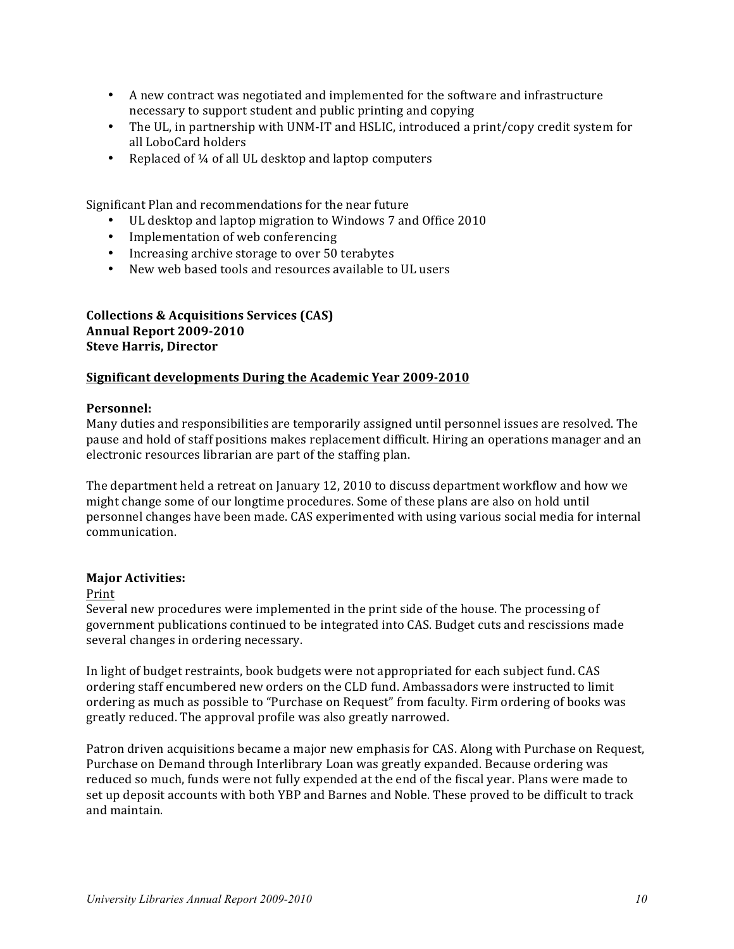- A new contract was negotiated and implemented for the software and infrastructure necessary to support student and public printing and copying
- The UL, in partnership with UNM-IT and HSLIC, introduced a print/copy credit system for all LoboCard holders
- Replaced of  $\frac{1}{4}$  of all UL desktop and laptop computers

Significant Plan and recommendations for the near future

- UL desktop and laptop migration to Windows 7 and Office 2010
- Implementation of web conferencing
- Increasing archive storage to over 50 terabytes
- New web based tools and resources available to UL users

# **Collections & Acquisitions Services (CAS) Annual Report 2009-2010 Steve Harris, Director**

#### **Significant developments During the Academic Year 2009-2010**

#### **Personnel:**

Many duties and responsibilities are temporarily assigned until personnel issues are resolved. The pause and hold of staff positions makes replacement difficult. Hiring an operations manager and an electronic resources librarian are part of the staffing plan.

The department held a retreat on January 12, 2010 to discuss department workflow and how we might change some of our longtime procedures. Some of these plans are also on hold until personnel changes have been made. CAS experimented with using various social media for internal communication. 

#### **Major Activities:**

#### Print

Several new procedures were implemented in the print side of the house. The processing of government publications continued to be integrated into CAS. Budget cuts and rescissions made several changes in ordering necessary.

In light of budget restraints, book budgets were not appropriated for each subject fund. CAS ordering staff encumbered new orders on the CLD fund. Ambassadors were instructed to limit ordering as much as possible to "Purchase on Request" from faculty. Firm ordering of books was greatly reduced. The approval profile was also greatly narrowed.

Patron driven acquisitions became a major new emphasis for CAS. Along with Purchase on Request, Purchase on Demand through Interlibrary Loan was greatly expanded. Because ordering was reduced so much, funds were not fully expended at the end of the fiscal year. Plans were made to set up deposit accounts with both YBP and Barnes and Noble. These proved to be difficult to track and maintain.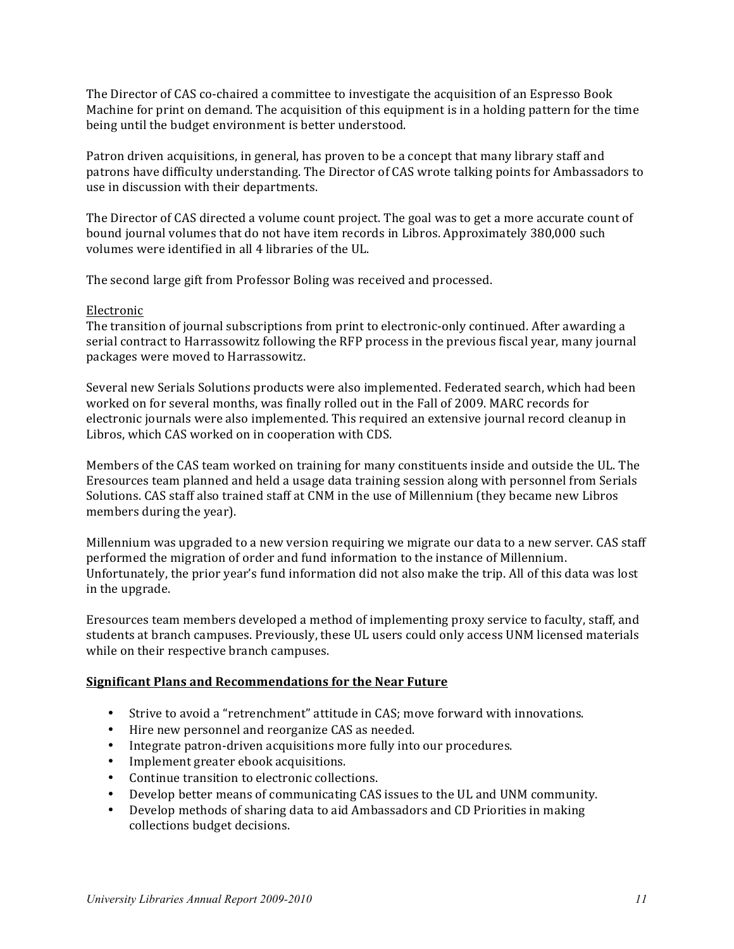The Director of CAS co-chaired a committee to investigate the acquisition of an Espresso Book Machine for print on demand. The acquisition of this equipment is in a holding pattern for the time being until the budget environment is better understood.

Patron driven acquisitions, in general, has proven to be a concept that many library staff and patrons have difficulty understanding. The Director of CAS wrote talking points for Ambassadors to use in discussion with their departments.

The Director of CAS directed a volume count project. The goal was to get a more accurate count of bound journal volumes that do not have item records in Libros. Approximately 380,000 such volumes were identified in all 4 libraries of the UL.

The second large gift from Professor Boling was received and processed.

# Electronic

The transition of journal subscriptions from print to electronic-only continued. After awarding a serial contract to Harrassowitz following the RFP process in the previous fiscal year, many journal packages were moved to Harrassowitz.

Several new Serials Solutions products were also implemented. Federated search, which had been worked on for several months, was finally rolled out in the Fall of 2009. MARC records for electronic journals were also implemented. This required an extensive journal record cleanup in Libros, which CAS worked on in cooperation with CDS.

Members of the CAS team worked on training for many constituents inside and outside the UL. The Eresources team planned and held a usage data training session along with personnel from Serials Solutions. CAS staff also trained staff at CNM in the use of Millennium (they became new Libros members during the year).

Millennium was upgraded to a new version requiring we migrate our data to a new server. CAS staff performed the migration of order and fund information to the instance of Millennium. Unfortunately, the prior year's fund information did not also make the trip. All of this data was lost in the upgrade.

Eresources team members developed a method of implementing proxy service to faculty, staff, and students at branch campuses. Previously, these UL users could only access UNM licensed materials while on their respective branch campuses.

#### **Significant Plans and Recommendations for the Near Future**

- Strive to avoid a "retrenchment" attitude in CAS; move forward with innovations.
- Hire new personnel and reorganize CAS as needed.
- Integrate patron-driven acquisitions more fully into our procedures.
- Implement greater ebook acquisitions.
- Continue transition to electronic collections.
- Develop better means of communicating CAS issues to the UL and UNM community.
- Develop methods of sharing data to aid Ambassadors and CD Priorities in making collections budget decisions.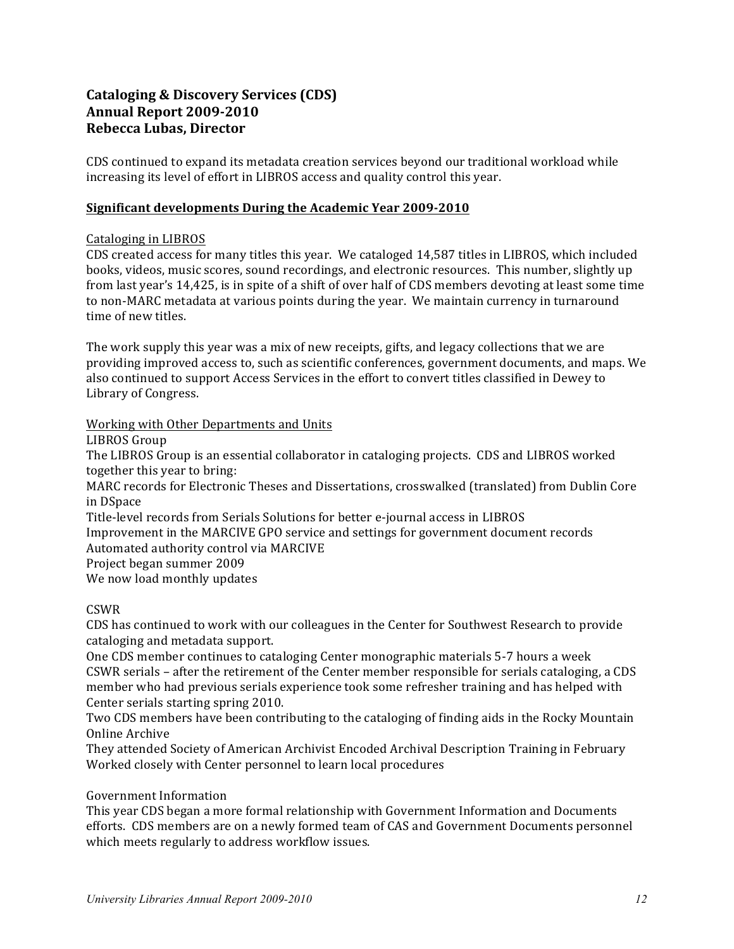# **Cataloging & Discovery Services (CDS) Annual Report 2009-2010 Rebecca Lubas, Director**

CDS continued to expand its metadata creation services beyond our traditional workload while increasing its level of effort in LIBROS access and quality control this year.

# **Significant developments During the Academic Year 2009-2010**

# Cataloging in LIBROS

CDS created access for many titles this year. We cataloged 14,587 titles in LIBROS, which included books, videos, music scores, sound recordings, and electronic resources. This number, slightly up from last year's 14,425, is in spite of a shift of over half of CDS members devoting at least some time to non-MARC metadata at various points during the year. We maintain currency in turnaround time of new titles.

The work supply this year was a mix of new receipts, gifts, and legacy collections that we are providing improved access to, such as scientific conferences, government documents, and maps. We also continued to support Access Services in the effort to convert titles classified in Dewey to Library of Congress.

# Working with Other Departments and Units

LIBROS Group

The LIBROS Group is an essential collaborator in cataloging projects. CDS and LIBROS worked together this year to bring:

MARC records for Electronic Theses and Dissertations, crosswalked (translated) from Dublin Core in DSpace

Title-level records from Serials Solutions for better e-journal access in LIBROS

Improvement in the MARCIVE GPO service and settings for government document records Automated authority control via MARCIVE

Project began summer 2009

We now load monthly updates

# CSWR

CDS has continued to work with our colleagues in the Center for Southwest Research to provide cataloging and metadata support.

One CDS member continues to cataloging Center monographic materials 5-7 hours a week CSWR serials – after the retirement of the Center member responsible for serials cataloging, a CDS member who had previous serials experience took some refresher training and has helped with Center serials starting spring 2010.

Two CDS members have been contributing to the cataloging of finding aids in the Rocky Mountain Online Archive

They attended Society of American Archivist Encoded Archival Description Training in February Worked closely with Center personnel to learn local procedures

#### Government Information

This year CDS began a more formal relationship with Government Information and Documents efforts. CDS members are on a newly formed team of CAS and Government Documents personnel which meets regularly to address workflow issues.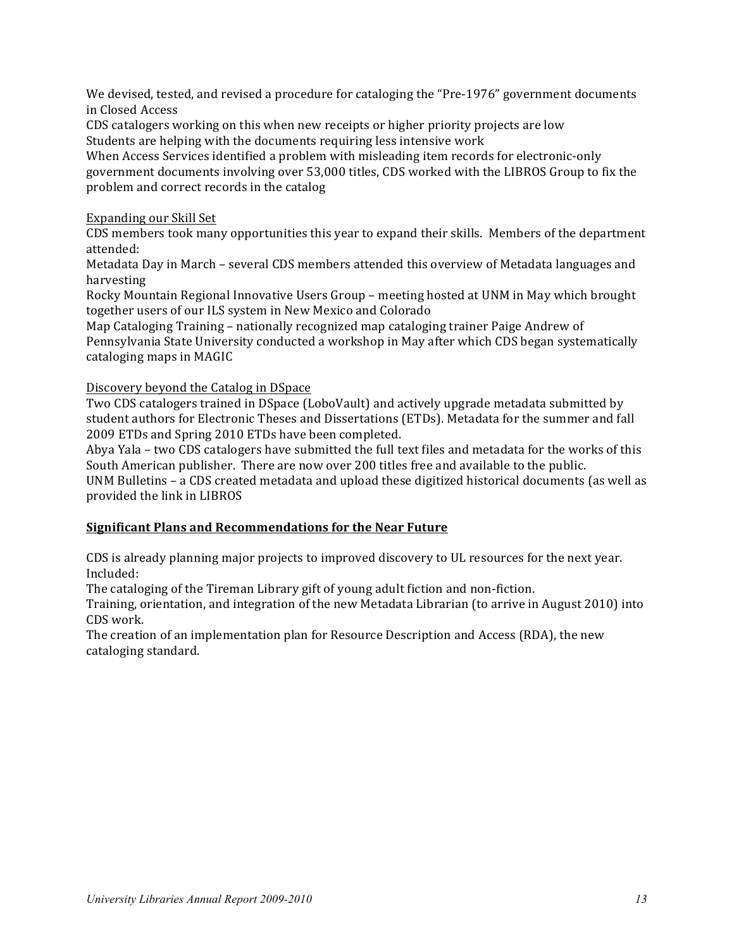We devised, tested, and revised a procedure for cataloging the "Pre-1976" government documents in Closed Access

CDS catalogers working on this when new receipts or higher priority projects are low Students are helping with the documents requiring less intensive work

When Access Services identified a problem with misleading item records for electronic-only government documents involving over 53,000 titles, CDS worked with the LIBROS Group to fix the problem and correct records in the catalog

# Expanding our Skill Set

CDS members took many opportunities this year to expand their skills. Members of the department attended:

Metadata Day in March – several CDS members attended this overview of Metadata languages and harvesting

Rocky Mountain Regional Innovative Users Group – meeting hosted at UNM in May which brought together users of our ILS system in New Mexico and Colorado

Map Cataloging Training – nationally recognized map cataloging trainer Paige Andrew of Pennsylvania State University conducted a workshop in May after which CDS began systematically cataloging maps in MAGIC

# Discovery beyond the Catalog in DSpace

Two CDS catalogers trained in DSpace (LoboVault) and actively upgrade metadata submitted by student authors for Electronic Theses and Dissertations (ETDs). Metadata for the summer and fall 2009 ETDs and Spring 2010 ETDs have been completed.

Abya Yala – two CDS catalogers have submitted the full text files and metadata for the works of this South American publisher. There are now over 200 titles free and available to the public.

UNM Bulletins – a CDS created metadata and upload these digitized historical documents (as well as provided the link in LIBROS

# **Significant Plans and Recommendations for the Near Future**

CDS is already planning major projects to improved discovery to UL resources for the next year. Included:

The cataloging of the Tireman Library gift of young adult fiction and non-fiction.

Training, orientation, and integration of the new Metadata Librarian (to arrive in August 2010) into CDS work.

The creation of an implementation plan for Resource Description and Access (RDA), the new cataloging standard.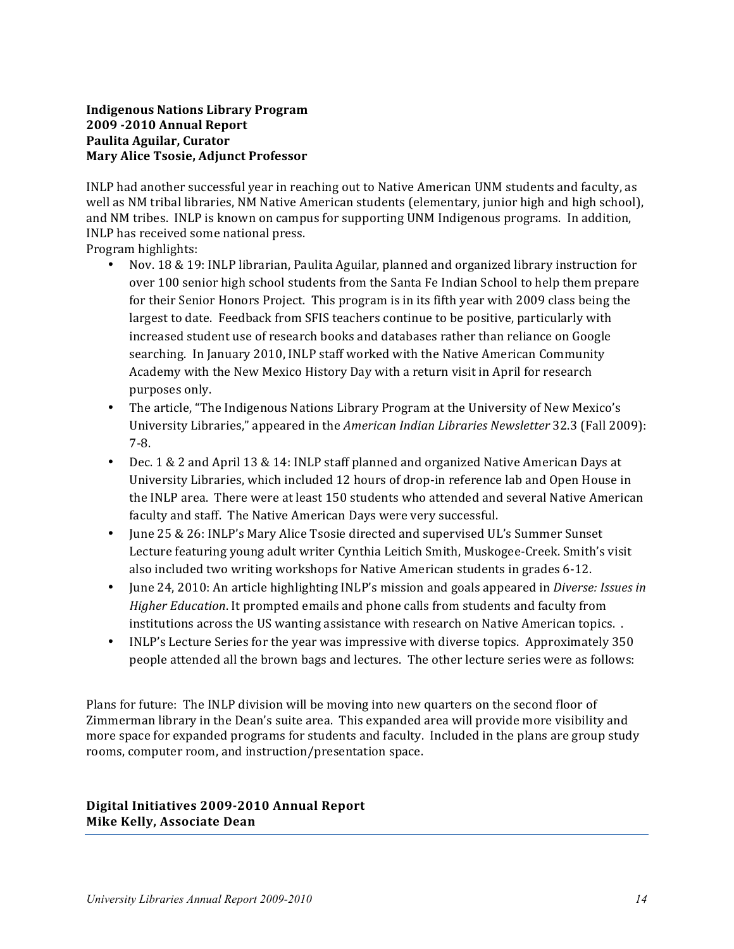# **Indigenous Nations Library Program 2009 -2010 Annual Report Paulita Aguilar, Curator Mary Alice Tsosie, Adjunct Professor**

INLP had another successful year in reaching out to Native American UNM students and faculty, as well as NM tribal libraries, NM Native American students (elementary, junior high and high school), and NM tribes. INLP is known on campus for supporting UNM Indigenous programs. In addition, INLP has received some national press.

Program highlights:

- Nov. 18 & 19: INLP librarian, Paulita Aguilar, planned and organized library instruction for over 100 senior high school students from the Santa Fe Indian School to help them prepare for their Senior Honors Project. This program is in its fifth year with 2009 class being the largest to date. Feedback from SFIS teachers continue to be positive, particularly with increased student use of research books and databases rather than reliance on Google searching. In January 2010, INLP staff worked with the Native American Community Academy with the New Mexico History Day with a return visit in April for research purposes only.
- The article, "The Indigenous Nations Library Program at the University of New Mexico's University Libraries," appeared in the *American Indian Libraries Newsletter* 32.3 (Fall 2009): 7-8.
- Dec. 1 & 2 and April 13 & 14: INLP staff planned and organized Native American Days at University Libraries, which included 12 hours of drop-in reference lab and Open House in the INLP area. There were at least 150 students who attended and several Native American faculty and staff. The Native American Days were very successful.
- June 25 & 26: INLP's Mary Alice Tsosie directed and supervised UL's Summer Sunset Lecture featuring young adult writer Cynthia Leitich Smith, Muskogee-Creek. Smith's visit also included two writing workshops for Native American students in grades 6-12.
- June 24, 2010: An article highlighting INLP's mission and goals appeared in *Diverse: Issues in Higher Education*. It prompted emails and phone calls from students and faculty from institutions across the US wanting assistance with research on Native American topics. .
- INLP's Lecture Series for the year was impressive with diverse topics. Approximately 350 people attended all the brown bags and lectures. The other lecture series were as follows:

Plans for future: The INLP division will be moving into new quarters on the second floor of Zimmerman library in the Dean's suite area. This expanded area will provide more visibility and more space for expanded programs for students and faculty. Included in the plans are group study rooms, computer room, and instruction/presentation space.

Digital Initiatives 2009-2010 Annual Report **Mike Kelly, Associate Dean**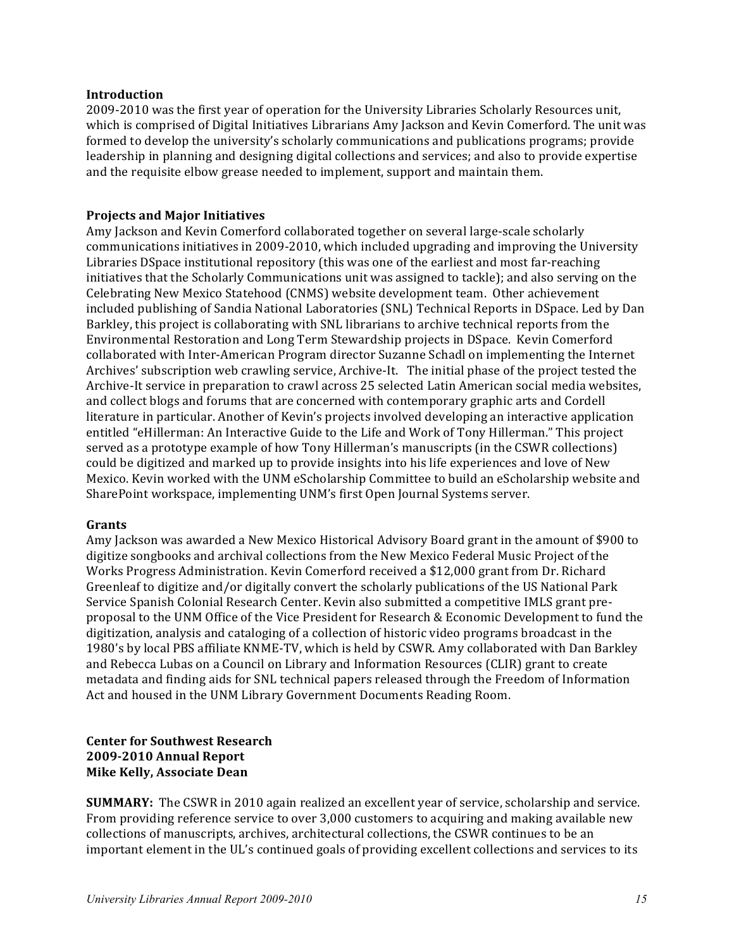#### **Introduction**

2009-2010 was the first year of operation for the University Libraries Scholarly Resources unit, which is comprised of Digital Initiatives Librarians Amy Jackson and Kevin Comerford. The unit was formed to develop the university's scholarly communications and publications programs; provide leadership in planning and designing digital collections and services; and also to provide expertise and the requisite elbow grease needed to implement, support and maintain them.

#### **Projects and Major Initiatives**

Amy Jackson and Kevin Comerford collaborated together on several large-scale scholarly communications initiatives in 2009-2010, which included upgrading and improving the University Libraries DSpace institutional repository (this was one of the earliest and most far-reaching initiatives that the Scholarly Communications unit was assigned to tackle); and also serving on the Celebrating New Mexico Statehood (CNMS) website development team. Other achievement included publishing of Sandia National Laboratories (SNL) Technical Reports in DSpace. Led by Dan Barkley, this project is collaborating with SNL librarians to archive technical reports from the Environmental Restoration and Long Term Stewardship projects in DSpace. Kevin Comerford collaborated with Inter-American Program director Suzanne Schadl on implementing the Internet Archives' subscription web crawling service, Archive-It. The initial phase of the project tested the Archive-It service in preparation to crawl across 25 selected Latin American social media websites, and collect blogs and forums that are concerned with contemporary graphic arts and Cordell literature in particular. Another of Kevin's projects involved developing an interactive application entitled "eHillerman: An Interactive Guide to the Life and Work of Tony Hillerman." This project served as a prototype example of how Tony Hillerman's manuscripts (in the CSWR collections) could be digitized and marked up to provide insights into his life experiences and love of New Mexico. Kevin worked with the UNM eScholarship Committee to build an eScholarship website and SharePoint workspace, implementing UNM's first Open Journal Systems server.

#### **Grants**

Amy Jackson was awarded a New Mexico Historical Advisory Board grant in the amount of \$900 to digitize songbooks and archival collections from the New Mexico Federal Music Project of the Works Progress Administration. Kevin Comerford received a \$12,000 grant from Dr. Richard Greenleaf to digitize and/or digitally convert the scholarly publications of the US National Park Service Spanish Colonial Research Center. Kevin also submitted a competitive IMLS grant preproposal to the UNM Office of the Vice President for Research & Economic Development to fund the digitization, analysis and cataloging of a collection of historic video programs broadcast in the 1980's by local PBS affiliate KNME-TV, which is held by CSWR. Amy collaborated with Dan Barkley and Rebecca Lubas on a Council on Library and Information Resources (CLIR) grant to create metadata and finding aids for SNL technical papers released through the Freedom of Information Act and housed in the UNM Library Government Documents Reading Room.

# **Center for Southwest Research 2009-2010 Annual Report Mike Kelly, Associate Dean**

**SUMMARY:** The CSWR in 2010 again realized an excellent year of service, scholarship and service. From providing reference service to over 3,000 customers to acquiring and making available new collections of manuscripts, archives, architectural collections, the CSWR continues to be an important element in the UL's continued goals of providing excellent collections and services to its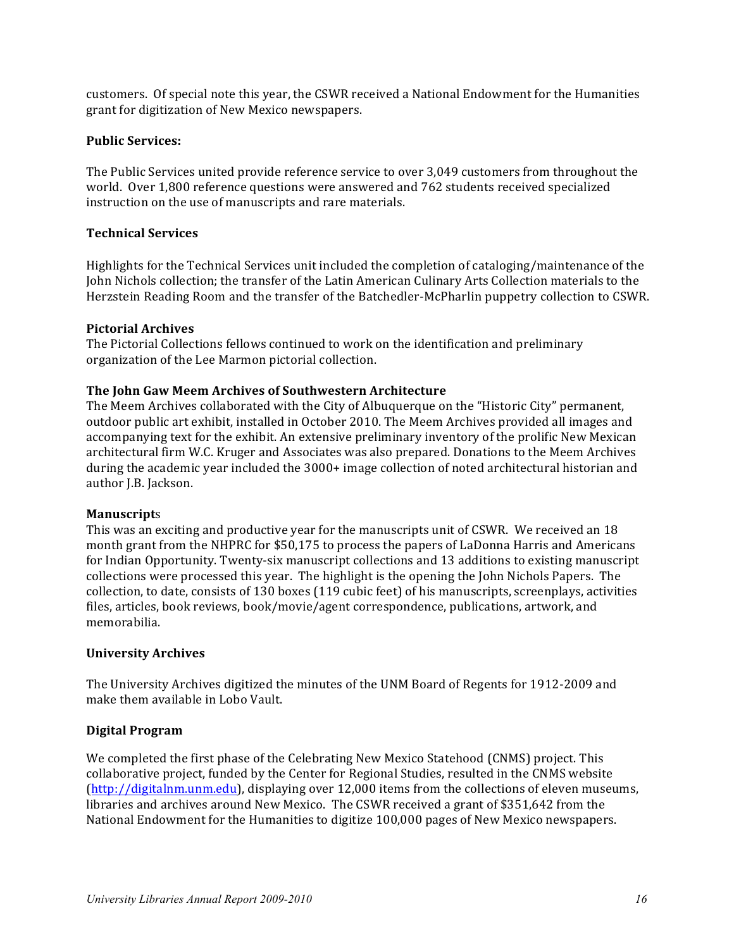customers. Of special note this year, the CSWR received a National Endowment for the Humanities grant for digitization of New Mexico newspapers.

#### **Public Services:**

The Public Services united provide reference service to over 3,049 customers from throughout the world. Over 1,800 reference questions were answered and 762 students received specialized instruction on the use of manuscripts and rare materials.

#### **Technical Services**

Highlights for the Technical Services unit included the completion of cataloging/maintenance of the John Nichols collection; the transfer of the Latin American Culinary Arts Collection materials to the Herzstein Reading Room and the transfer of the Batchedler-McPharlin puppetry collection to CSWR.

#### **Pictorial Archives**

The Pictorial Collections fellows continued to work on the identification and preliminary organization of the Lee Marmon pictorial collection.

#### The John Gaw Meem Archives of Southwestern Architecture

The Meem Archives collaborated with the City of Albuquerque on the "Historic City" permanent, outdoor public art exhibit, installed in October 2010. The Meem Archives provided all images and accompanying text for the exhibit. An extensive preliminary inventory of the prolific New Mexican architectural firm W.C. Kruger and Associates was also prepared. Donations to the Meem Archives during the academic year included the 3000+ image collection of noted architectural historian and author J.B. Jackson.

#### **Manuscript**s

This was an exciting and productive year for the manuscripts unit of CSWR. We received an 18 month grant from the NHPRC for \$50,175 to process the papers of LaDonna Harris and Americans for Indian Opportunity. Twenty-six manuscript collections and 13 additions to existing manuscript collections were processed this year. The highlight is the opening the John Nichols Papers. The collection, to date, consists of 130 boxes (119 cubic feet) of his manuscripts, screenplays, activities files, articles, book reviews, book/movie/agent correspondence, publications, artwork, and memorabilia. 

#### **University Archives**

The University Archives digitized the minutes of the UNM Board of Regents for 1912-2009 and make them available in Lobo Vault.

#### **Digital Program**

We completed the first phase of the Celebrating New Mexico Statehood (CNMS) project. This collaborative project, funded by the Center for Regional Studies, resulted in the CNMS website (http://digitalnm.unm.edu), displaying over 12,000 items from the collections of eleven museums, libraries and archives around New Mexico. The CSWR received a grant of \$351,642 from the National Endowment for the Humanities to digitize 100,000 pages of New Mexico newspapers.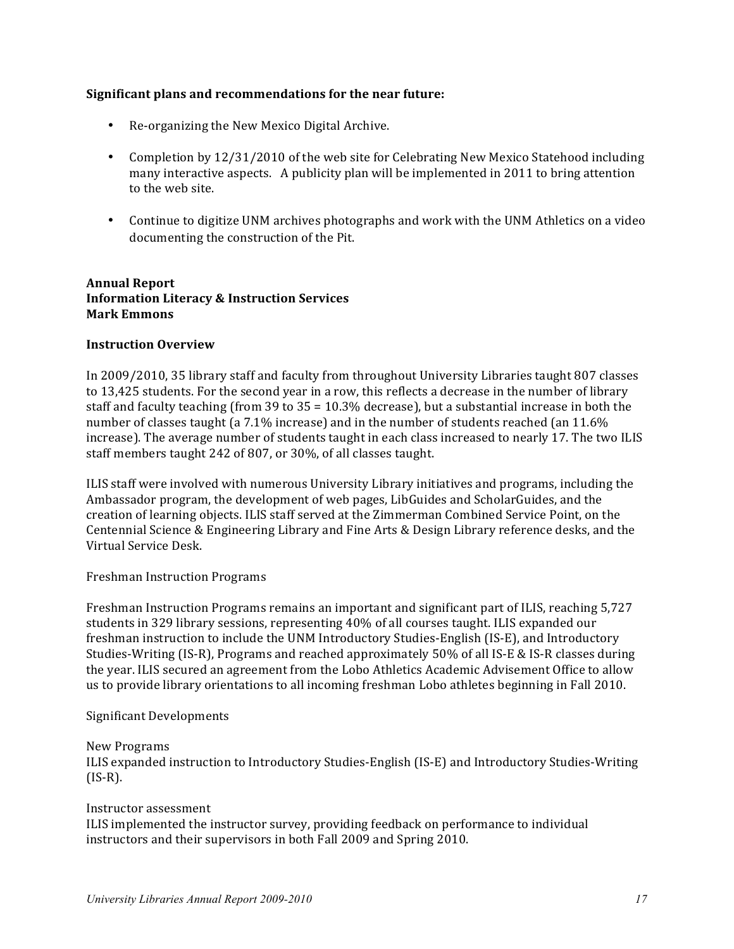# **Significant plans and recommendations for the near future:**

- Re-organizing the New Mexico Digital Archive.
- Completion by 12/31/2010 of the web site for Celebrating New Mexico Statehood including many interactive aspects. A publicity plan will be implemented in 2011 to bring attention to the web site.
- Continue to digitize UNM archives photographs and work with the UNM Athletics on a video documenting the construction of the Pit.

# **Annual Report Information Literacy & Instruction Services Mark Emmons**

# **Instruction Overview**

In 2009/2010, 35 library staff and faculty from throughout University Libraries taught 807 classes to 13,425 students. For the second year in a row, this reflects a decrease in the number of library staff and faculty teaching (from 39 to  $35 = 10.3\%$  decrease), but a substantial increase in both the number of classes taught (a 7.1% increase) and in the number of students reached (an 11.6% increase). The average number of students taught in each class increased to nearly 17. The two ILIS staff members taught 242 of 807, or 30%, of all classes taught.

ILIS staff were involved with numerous University Library initiatives and programs, including the Ambassador program, the development of web pages, LibGuides and ScholarGuides, and the creation of learning objects. ILIS staff served at the Zimmerman Combined Service Point, on the Centennial Science & Engineering Library and Fine Arts & Design Library reference desks, and the Virtual Service Desk.

#### Freshman Instruction Programs

Freshman Instruction Programs remains an important and significant part of ILIS, reaching 5,727 students in 329 library sessions, representing 40% of all courses taught. ILIS expanded our freshman instruction to include the UNM Introductory Studies-English (IS-E), and Introductory Studies-Writing (IS-R), Programs and reached approximately 50% of all IS-E & IS-R classes during the year. ILIS secured an agreement from the Lobo Athletics Academic Advisement Office to allow us to provide library orientations to all incoming freshman Lobo athletes beginning in Fall 2010.

#### Significant Developments

#### New Programs

ILIS expanded instruction to Introductory Studies-English (IS-E) and Introductory Studies-Writing (IS-R).

#### Instructor assessment

ILIS implemented the instructor survey, providing feedback on performance to individual instructors and their supervisors in both Fall 2009 and Spring 2010.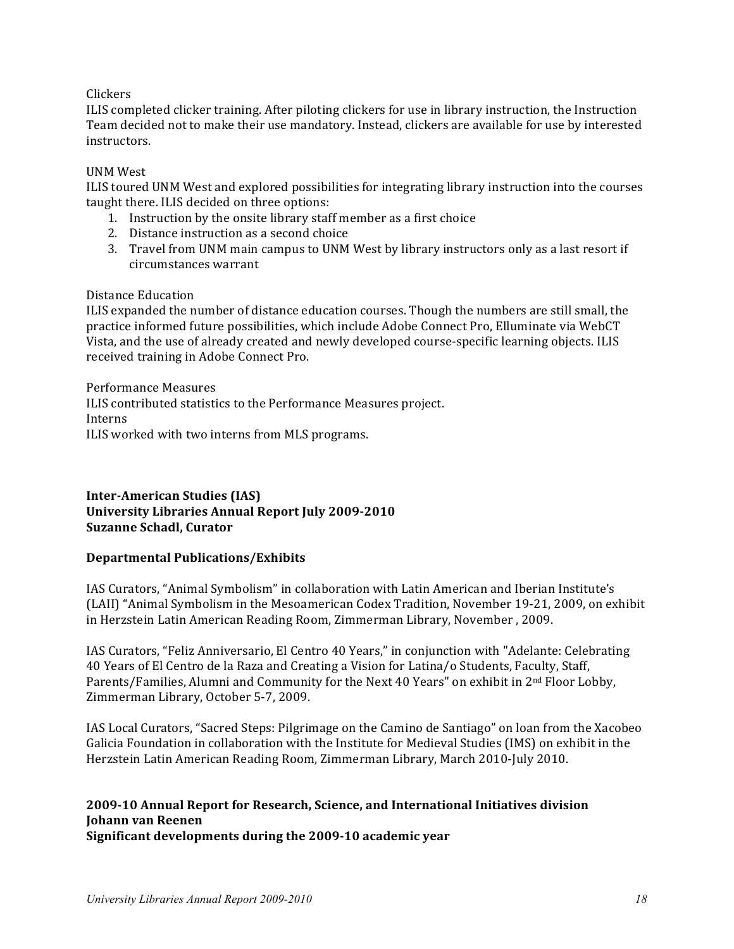# Clickers

ILIS completed clicker training. After piloting clickers for use in library instruction, the Instruction Team decided not to make their use mandatory. Instead, clickers are available for use by interested instructors.

# UNM West

ILIS toured UNM West and explored possibilities for integrating library instruction into the courses taught there. ILIS decided on three options:

- 1. Instruction by the onsite library staff member as a first choice
- 2. Distance instruction as a second choice
- 3. Travel from UNM main campus to UNM West by library instructors only as a last resort if circumstances warrant

#### Distance Education

ILIS expanded the number of distance education courses. Though the numbers are still small, the practice informed future possibilities, which include Adobe Connect Pro, Elluminate via WebCT Vista, and the use of already created and newly developed course-specific learning objects. ILIS received training in Adobe Connect Pro.

Performance Measures ILIS contributed statistics to the Performance Measures project. Interns ILIS worked with two interns from MLS programs.

# **Inter-American Studies (IAS) University Libraries Annual Report July 2009-2010 Suzanne Schadl, Curator**

#### **Departmental Publications/Exhibits**

IAS Curators, "Animal Symbolism" in collaboration with Latin American and Iberian Institute's (LAII) "Animal Symbolism in the Mesoamerican Codex Tradition, November 19-21, 2009, on exhibit in Herzstein Latin American Reading Room, Zimmerman Library, November, 2009.

IAS Curators, "Feliz Anniversario, El Centro 40 Years," in conjunction with "Adelante: Celebrating 40 Years of El Centro de la Raza and Creating a Vision for Latina/o Students, Faculty, Staff, Parents/Families, Alumni and Community for the Next 40 Years" on exhibit in 2<sup>nd</sup> Floor Lobby, Zimmerman Library, October 5-7, 2009.

IAS Local Curators, "Sacred Steps: Pilgrimage on the Camino de Santiago" on loan from the Xacobeo Galicia Foundation in collaboration with the Institute for Medieval Studies (IMS) on exhibit in the Herzstein Latin American Reading Room, Zimmerman Library, March 2010-July 2010.

# **2009-10 Annual Report for Research, Science, and International Initiatives division Johann van Reenen**

**Significant developments during the 2009-10 academic year**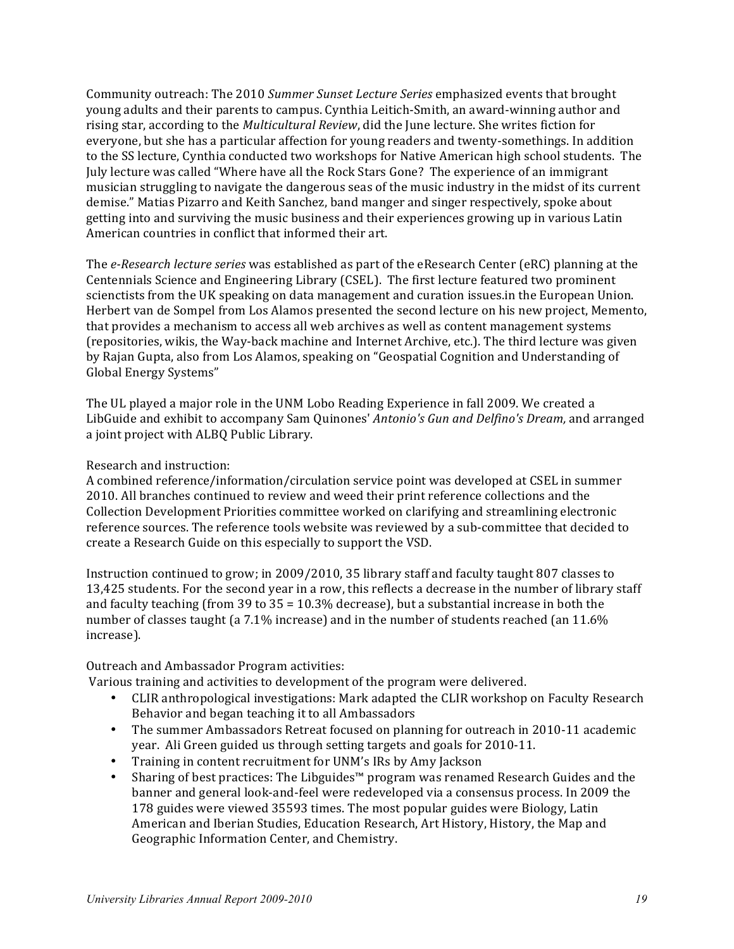Community outreach: The 2010 *Summer Sunset Lecture Series* emphasized events that brought young adults and their parents to campus. Cynthia Leitich-Smith, an award-winning author and rising star, according to the *Multicultural Review*, did the June lecture. She writes fiction for everyone, but she has a particular affection for young readers and twenty-somethings. In addition to the SS lecture, Cynthia conducted two workshops for Native American high school students. The July lecture was called "Where have all the Rock Stars Gone? The experience of an immigrant musician struggling to navigate the dangerous seas of the music industry in the midst of its current demise." Matias Pizarro and Keith Sanchez, band manger and singer respectively, spoke about getting into and surviving the music business and their experiences growing up in various Latin American countries in conflict that informed their art.

The *e-Research lecture series* was established as part of the eResearch Center (eRC) planning at the Centennials Science and Engineering Library (CSEL). The first lecture featured two prominent scienctists from the UK speaking on data management and curation issues.in the European Union. Herbert van de Sompel from Los Alamos presented the second lecture on his new project, Memento, that provides a mechanism to access all web archives as well as content management systems (repositories, wikis, the Way-back machine and Internet Archive, etc.). The third lecture was given by Rajan Gupta, also from Los Alamos, speaking on "Geospatial Cognition and Understanding of Global Energy Systems"

The UL played a major role in the UNM Lobo Reading Experience in fall 2009. We created a LibGuide and exhibit to accompany Sam Quinones' *Antonio's Gun and Delfino's Dream*, and arranged a joint project with ALBQ Public Library.

# Research and instruction:

A combined reference/information/circulation service point was developed at CSEL in summer 2010. All branches continued to review and weed their print reference collections and the Collection Development Priorities committee worked on clarifying and streamlining electronic reference sources. The reference tools website was reviewed by a sub-committee that decided to create a Research Guide on this especially to support the VSD.

Instruction continued to grow; in 2009/2010, 35 library staff and faculty taught 807 classes to 13,425 students. For the second year in a row, this reflects a decrease in the number of library staff and faculty teaching (from 39 to  $35 = 10.3\%$  decrease), but a substantial increase in both the number of classes taught (a 7.1% increase) and in the number of students reached (an 11.6% increase). 

Outreach and Ambassador Program activities:

Various training and activities to development of the program were delivered.

- CLIR anthropological investigations: Mark adapted the CLIR workshop on Faculty Research Behavior and began teaching it to all Ambassadors
- The summer Ambassadors Retreat focused on planning for outreach in 2010-11 academic year. Ali Green guided us through setting targets and goals for 2010-11.
- Training in content recruitment for UNM's IRs by Amy Jackson
- Sharing of best practices: The Libguides™ program was renamed Research Guides and the banner and general look-and-feel were redeveloped via a consensus process. In 2009 the 178 guides were viewed 35593 times. The most popular guides were Biology, Latin American and Iberian Studies, Education Research, Art History, History, the Map and Geographic Information Center, and Chemistry.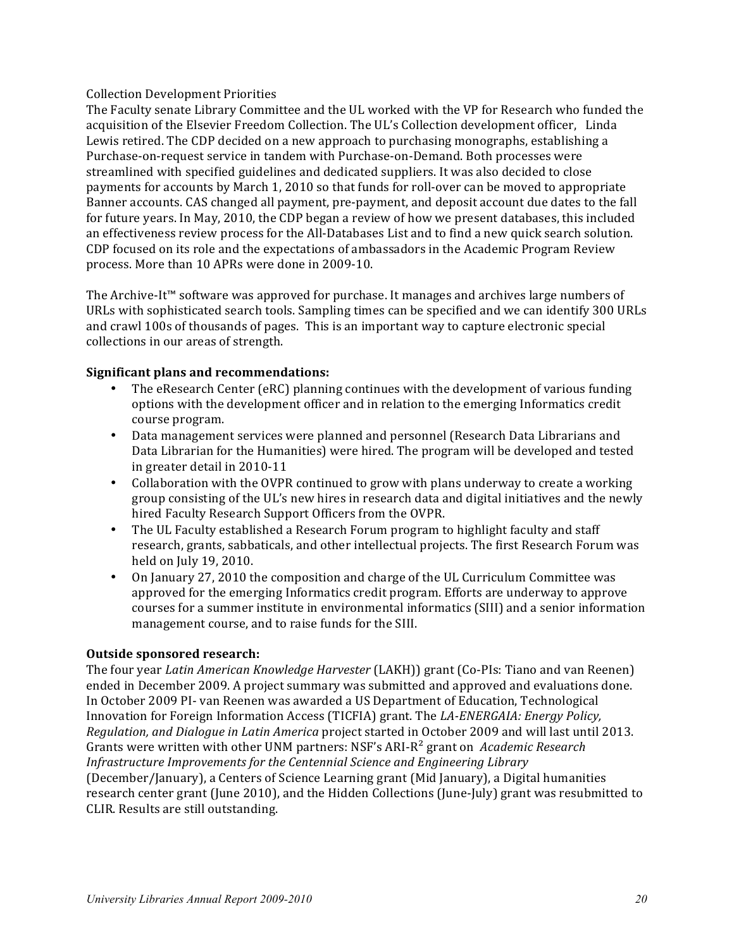# Collection Development Priorities

The Faculty senate Library Committee and the UL worked with the VP for Research who funded the acquisition of the Elsevier Freedom Collection. The UL's Collection development officer, Linda Lewis retired. The CDP decided on a new approach to purchasing monographs, establishing a Purchase-on-request service in tandem with Purchase-on-Demand. Both processes were streamlined with specified guidelines and dedicated suppliers. It was also decided to close payments for accounts by March 1, 2010 so that funds for roll-over can be moved to appropriate Banner accounts. CAS changed all payment, pre-payment, and deposit account due dates to the fall for future years. In May, 2010, the CDP began a review of how we present databases, this included an effectiveness review process for the All-Databases List and to find a new quick search solution. CDP focused on its role and the expectations of ambassadors in the Academic Program Review process. More than 10 APRs were done in 2009-10.

The Archive-It™ software was approved for purchase. It manages and archives large numbers of URLs with sophisticated search tools. Sampling times can be specified and we can identify 300 URLs and crawl 100s of thousands of pages. This is an important way to capture electronic special collections in our areas of strength.

# **Significant plans and recommendations:**

- The eResearch Center (eRC) planning continues with the development of various funding options with the development officer and in relation to the emerging Informatics credit course program.
- Data management services were planned and personnel (Research Data Librarians and Data Librarian for the Humanities) were hired. The program will be developed and tested in greater detail in 2010-11
- Collaboration with the OVPR continued to grow with plans underway to create a working group consisting of the UL's new hires in research data and digital initiatives and the newly hired Faculty Research Support Officers from the OVPR.
- The UL Faculty established a Research Forum program to highlight faculty and staff research, grants, sabbaticals, and other intellectual projects. The first Research Forum was held on July 19, 2010.
- On January 27, 2010 the composition and charge of the UL Curriculum Committee was approved for the emerging Informatics credit program. Efforts are underway to approve courses for a summer institute in environmental informatics (SIII) and a senior information management course, and to raise funds for the SIII.

#### **Outside sponsored research:**

The four year *Latin American Knowledge Harvester* (LAKH)) grant (Co-PIs: Tiano and van Reenen) ended in December 2009. A project summary was submitted and approved and evaluations done. In October 2009 PI- van Reenen was awarded a US Department of Education, Technological Innovation for Foreign Information Access (TICFIA) grant. The LA-ENERGAIA: Energy Policy, *Regulation, and Dialogue in Latin America* project started in October 2009 and will last until 2013. Grants were written with other UNM partners: NSF's ARI-R<sup>2</sup> grant on Academic Research *Infrastructure Improvements for the Centennial Science and Engineering Library* (December/January), a Centers of Science Learning grant (Mid January), a Digital humanities research center grant (June 2010), and the Hidden Collections (June-July) grant was resubmitted to CLIR. Results are still outstanding.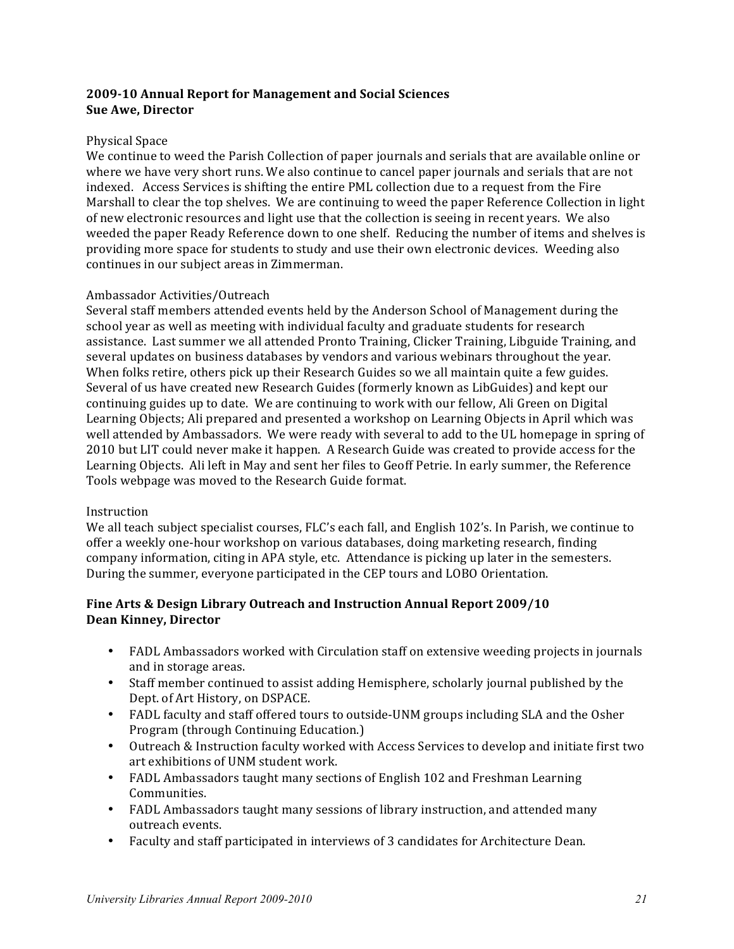# **2009-10 Annual Report for Management and Social Sciences Sue Awe, Director**

# Physical Space

We continue to weed the Parish Collection of paper journals and serials that are available online or where we have very short runs. We also continue to cancel paper journals and serials that are not indexed. Access Services is shifting the entire PML collection due to a request from the Fire Marshall to clear the top shelves. We are continuing to weed the paper Reference Collection in light of new electronic resources and light use that the collection is seeing in recent years. We also weeded the paper Ready Reference down to one shelf. Reducing the number of items and shelves is providing more space for students to study and use their own electronic devices. Weeding also continues in our subject areas in Zimmerman.

# Ambassador Activities/Outreach

Several staff members attended events held by the Anderson School of Management during the school year as well as meeting with individual faculty and graduate students for research assistance. Last summer we all attended Pronto Training, Clicker Training, Libguide Training, and several updates on business databases by vendors and various webinars throughout the year. When folks retire, others pick up their Research Guides so we all maintain quite a few guides. Several of us have created new Research Guides (formerly known as LibGuides) and kept our continuing guides up to date. We are continuing to work with our fellow, Ali Green on Digital Learning Objects; Ali prepared and presented a workshop on Learning Objects in April which was well attended by Ambassadors. We were ready with several to add to the UL homepage in spring of 2010 but LIT could never make it happen. A Research Guide was created to provide access for the Learning Objects. Ali left in May and sent her files to Geoff Petrie. In early summer, the Reference Tools webpage was moved to the Research Guide format.

#### Instruction

We all teach subject specialist courses, FLC's each fall, and English 102's. In Parish, we continue to offer a weekly one-hour workshop on various databases, doing marketing research, finding company information, citing in APA style, etc. Attendance is picking up later in the semesters. During the summer, everyone participated in the CEP tours and LOBO Orientation.

# **Fine Arts & Design Library Outreach and Instruction Annual Report 2009/10 Dean Kinney, Director**

- FADL Ambassadors worked with Circulation staff on extensive weeding projects in journals and in storage areas.
- Staff member continued to assist adding Hemisphere, scholarly journal published by the Dept. of Art History, on DSPACE.
- FADL faculty and staff offered tours to outside-UNM groups including SLA and the Osher Program (through Continuing Education.)
- Outreach & Instruction faculty worked with Access Services to develop and initiate first two art exhibitions of UNM student work.
- FADL Ambassadors taught many sections of English 102 and Freshman Learning Communities.
- FADL Ambassadors taught many sessions of library instruction, and attended many outreach events.
- Faculty and staff participated in interviews of 3 candidates for Architecture Dean.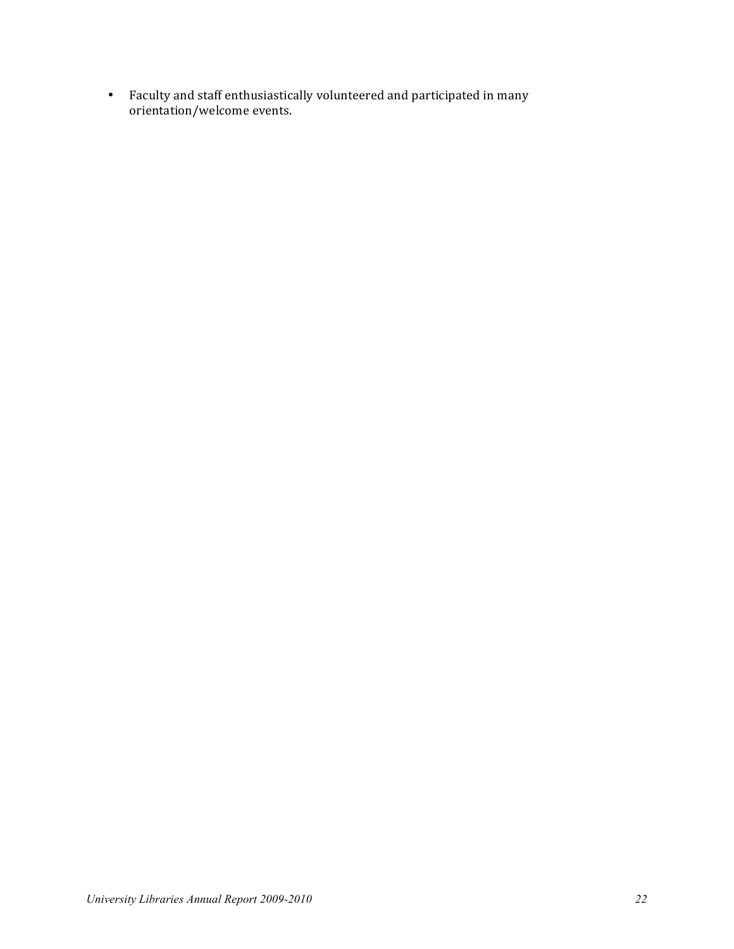• Faculty and staff enthusiastically volunteered and participated in many orientation/welcome events.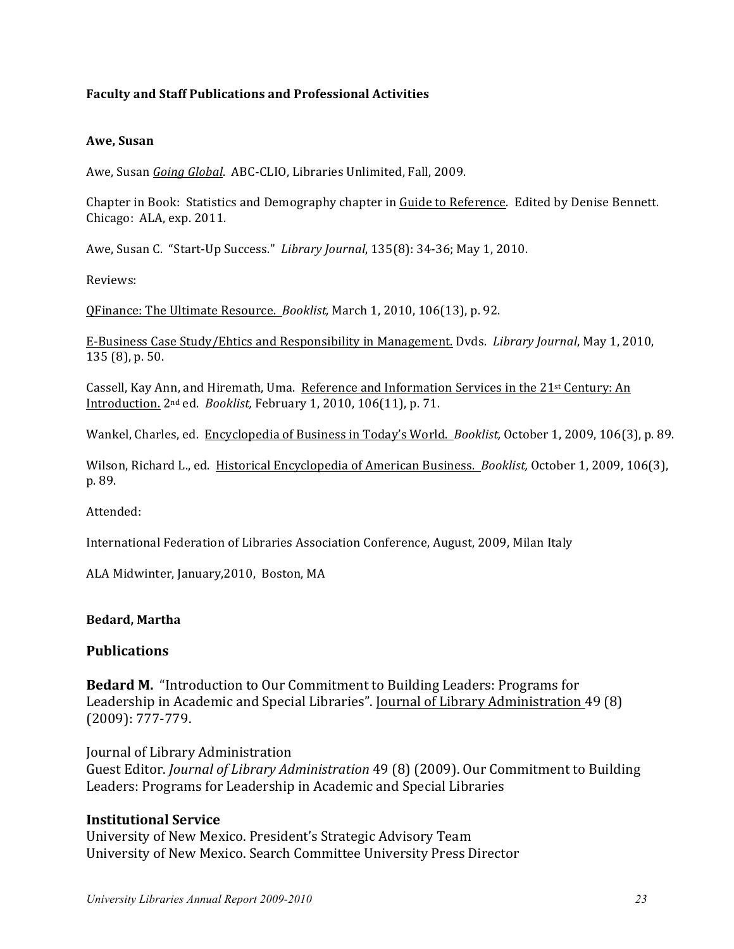# **Faculty and Staff Publications and Professional Activities**

# **Awe, Susan**

Awe, Susan *Going Global*. ABC-CLIO, Libraries Unlimited, Fall, 2009.

Chapter in Book: Statistics and Demography chapter in Guide to Reference. Edited by Denise Bennett. Chicago: ALA, exp. 2011.

Awe, Susan C. "Start-Up Success." Library Journal, 135(8): 34-36; May 1, 2010.

Reviews:

QFinance: The Ultimate Resource. *Booklist*, March 1, 2010, 106(13), p. 92.

E-Business Case Study/Ehtics and Responsibility in Management. Dvds. *Library Journal*, May 1, 2010, 135 (8), p. 50.

Cassell, Kay Ann, and Hiremath, Uma. Reference and Information Services in the 21<sup>st</sup> Century: An Introduction. 2nd ed. *Booklist,* February 1, 2010, 106(11), p. 71.

Wankel, Charles, ed. Encyclopedia of Business in Today's World. Booklist, October 1, 2009, 106(3), p. 89.

Wilson, Richard L., ed. Historical Encyclopedia of American Business. *Booklist*, October 1, 2009, 106(3), p. 89.

Attended: 

International Federation of Libraries Association Conference, August, 2009, Milan Italy

ALA Midwinter, January, 2010, Boston, MA

# **Bedard, Martha**

# **Publications**

**Bedard M.** "Introduction to Our Commitment to Building Leaders: Programs for Leadership in Academic and Special Libraries". Journal of Library Administration 49 (8) (2009): 777-779.

Journal of Library Administration

Guest Editor. *Journal of Library Administration* 49 (8) (2009). Our Commitment to Building Leaders: Programs for Leadership in Academic and Special Libraries

# **Institutional Service**

University of New Mexico. President's Strategic Advisory Team University of New Mexico. Search Committee University Press Director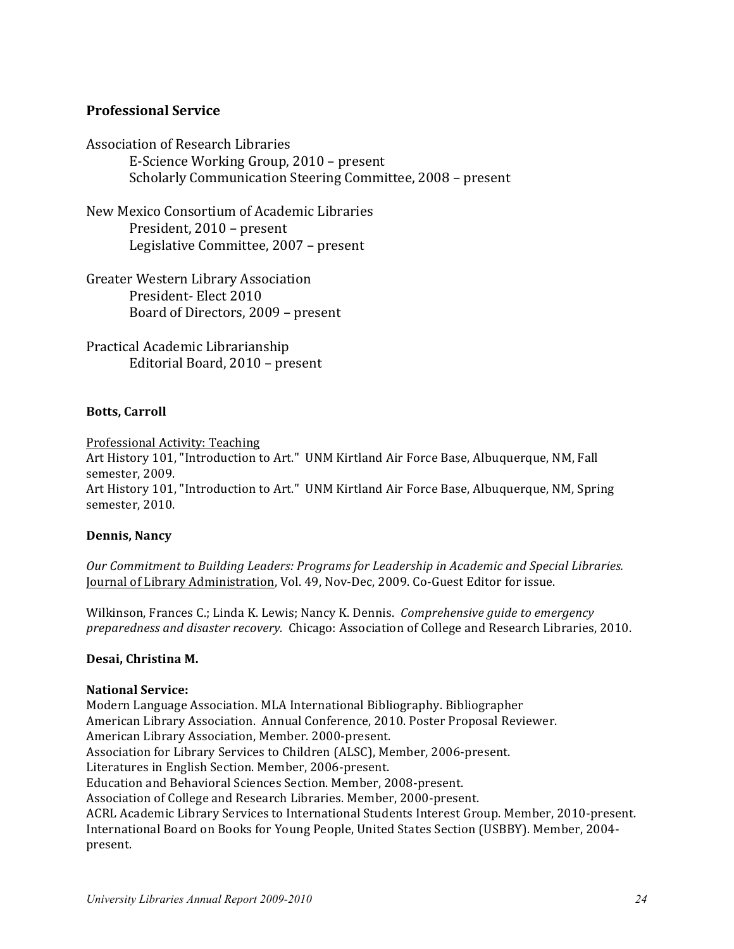# **Professional Service**

Association of Research Libraries E-Science Working Group, 2010 – present Scholarly Communication Steering Committee, 2008 - present

New Mexico Consortium of Academic Libraries President, 2010 – present Legislative Committee, 2007 - present

Greater Western Library Association President- Elect 2010 Board of Directors, 2009 – present

Practical Academic Librarianship Editorial Board, 2010 - present

# **Botts, Carroll**

Professional Activity: Teaching Art History 101, "Introduction to Art." UNM Kirtland Air Force Base, Albuquerque, NM, Fall semester, 2009. Art History 101, "Introduction to Art." UNM Kirtland Air Force Base, Albuquerque, NM, Spring semester, 2010.

#### **Dennis, Nancy**

Our Commitment to Building Leaders: Programs for Leadership in Academic and Special Libraries. Journal of Library Administration, Vol. 49, Nov-Dec, 2009. Co-Guest Editor for issue.

Wilkinson, Frances C.; Linda K. Lewis; Nancy K. Dennis. *Comprehensive guide to emergency preparedness and disaster recovery.* Chicago: Association of College and Research Libraries, 2010.

#### **Desai, Christina M.**

#### **National Service:**

Modern Language Association. MLA International Bibliography. Bibliographer American Library Association. Annual Conference, 2010. Poster Proposal Reviewer. American Library Association, Member. 2000-present. Association for Library Services to Children (ALSC), Member, 2006-present. Literatures in English Section. Member, 2006-present. Education and Behavioral Sciences Section. Member, 2008-present. Association of College and Research Libraries. Member, 2000-present. ACRL Academic Library Services to International Students Interest Group. Member, 2010-present. International Board on Books for Young People, United States Section (USBBY). Member, 2004present.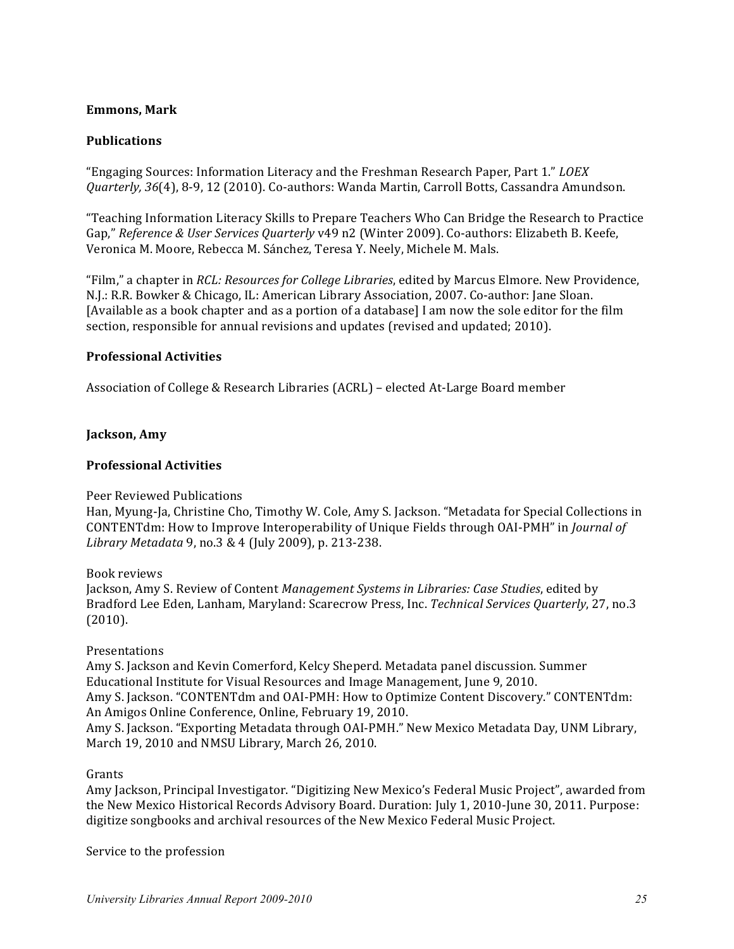# **Emmons, Mark**

# **Publications**

"Engaging Sources: Information Literacy and the Freshman Research Paper, Part 1." *LOEX Quarterly, 36*(4), 8-9, 12 (2010). Co-authors: Wanda Martin, Carroll Botts, Cassandra Amundson.

"Teaching Information Literacy Skills to Prepare Teachers Who Can Bridge the Research to Practice Gap," Reference & User Services Quarterly v49 n2 (Winter 2009). Co-authors: Elizabeth B. Keefe, Veronica M. Moore, Rebecca M. Sánchez, Teresa Y. Neely, Michele M. Mals.

"Film," a chapter in *RCL: Resources for College Libraries*, edited by Marcus Elmore. New Providence, N.J.: R.R. Bowker & Chicago, IL: American Library Association, 2007. Co-author: Jane Sloan. [Available as a book chapter and as a portion of a database] I am now the sole editor for the film section, responsible for annual revisions and updates (revised and updated; 2010).

#### **Professional Activities**

Association of College & Research Libraries (ACRL) – elected At-Large Board member

# **Jackson, Amy**

# **Professional Activities**

#### Peer Reviewed Publications

Han, Myung-Ja, Christine Cho, Timothy W. Cole, Amy S. Jackson. "Metadata for Special Collections in CONTENTdm: How to Improve Interoperability of Unique Fields through OAI-PMH" in *Journal of Library Metadata* 9, no.3 & 4 (July 2009), p. 213-238.

Book reviews

Jackson, Amy S. Review of Content *Management Systems in Libraries: Case Studies*, edited by Bradford Lee Eden, Lanham, Maryland: Scarecrow Press, Inc. *Technical Services Quarterly*, 27, no.3 (2010).

#### Presentations

Amy S. Jackson and Kevin Comerford, Kelcy Sheperd. Metadata panel discussion. Summer Educational Institute for Visual Resources and Image Management, June 9, 2010. Amy S. Jackson. "CONTENTdm and OAI-PMH: How to Optimize Content Discovery." CONTENTdm: An Amigos Online Conference, Online, February 19, 2010. Amy S. Jackson. "Exporting Metadata through OAI-PMH." New Mexico Metadata Day, UNM Library, March 19, 2010 and NMSU Library, March 26, 2010.

#### Grants

Amy Jackson, Principal Investigator. "Digitizing New Mexico's Federal Music Project", awarded from the New Mexico Historical Records Advisory Board. Duration: July 1, 2010-June 30, 2011. Purpose: digitize songbooks and archival resources of the New Mexico Federal Music Project.

Service to the profession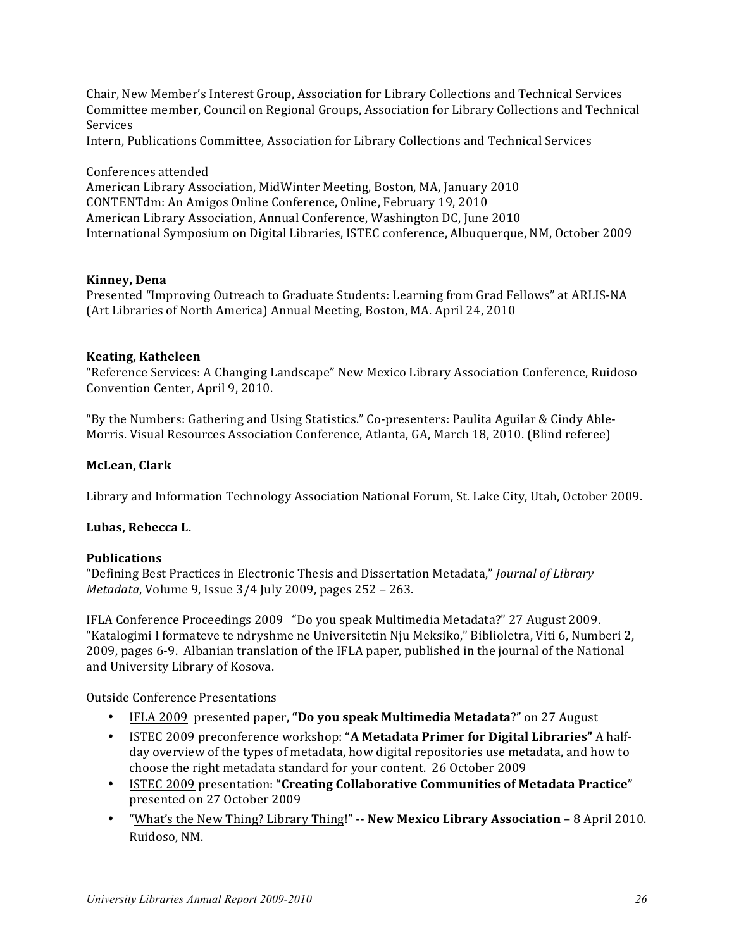Chair, New Member's Interest Group, Association for Library Collections and Technical Services Committee member, Council on Regional Groups, Association for Library Collections and Technical Services

Intern, Publications Committee, Association for Library Collections and Technical Services

Conferences attended

American Library Association, MidWinter Meeting, Boston, MA, January 2010 CONTENTdm: An Amigos Online Conference, Online, February 19, 2010 American Library Association, Annual Conference, Washington DC, June 2010 International Symposium on Digital Libraries, ISTEC conference, Albuquerque, NM, October 2009

#### **Kinney, Dena**

Presented "Improving Outreach to Graduate Students: Learning from Grad Fellows" at ARLIS-NA (Art Libraries of North America) Annual Meeting, Boston, MA. April 24, 2010

#### **Keating, Katheleen**

"Reference Services: A Changing Landscape" New Mexico Library Association Conference, Ruidoso Convention Center, April 9, 2010.

"By the Numbers: Gathering and Using Statistics." Co-presenters: Paulita Aguilar & Cindy Able-Morris. Visual Resources Association Conference, Atlanta, GA, March 18, 2010. (Blind referee)

#### **McLean, Clark**

Library and Information Technology Association National Forum, St. Lake City, Utah, October 2009.

#### Lubas, Rebecca L.

#### **Publications**

"Defining Best Practices in Electronic Thesis and Dissertation Metadata," *Journal of Library Metadata*, Volume 9, Issue  $3/4$  July 2009, pages  $252 - 263$ .

IFLA Conference Proceedings 2009 "Do you speak Multimedia Metadata?" 27 August 2009. "Katalogimi I formateve te ndryshme ne Universitetin Nju Meksiko," Biblioletra, Viti 6, Numberi 2, 2009, pages 6-9. Albanian translation of the IFLA paper, published in the journal of the National and University Library of Kosova.

Outside Conference Presentations

- IFLA 2009 presented paper, "Do you speak Multimedia Metadata?" on 27 August
- ISTEC 2009 preconference workshop: "A **Metadata Primer for Digital Libraries"** A halfday overview of the types of metadata, how digital repositories use metadata, and how to choose the right metadata standard for your content. 26 October 2009
- ISTEC 2009 presentation: "**Creating Collaborative Communities of Metadata Practice**" presented on 27 October 2009
- **"What's the New Thing? Library Thing!" -- New Mexico Library Association** 8 April 2010. Ruidoso, NM.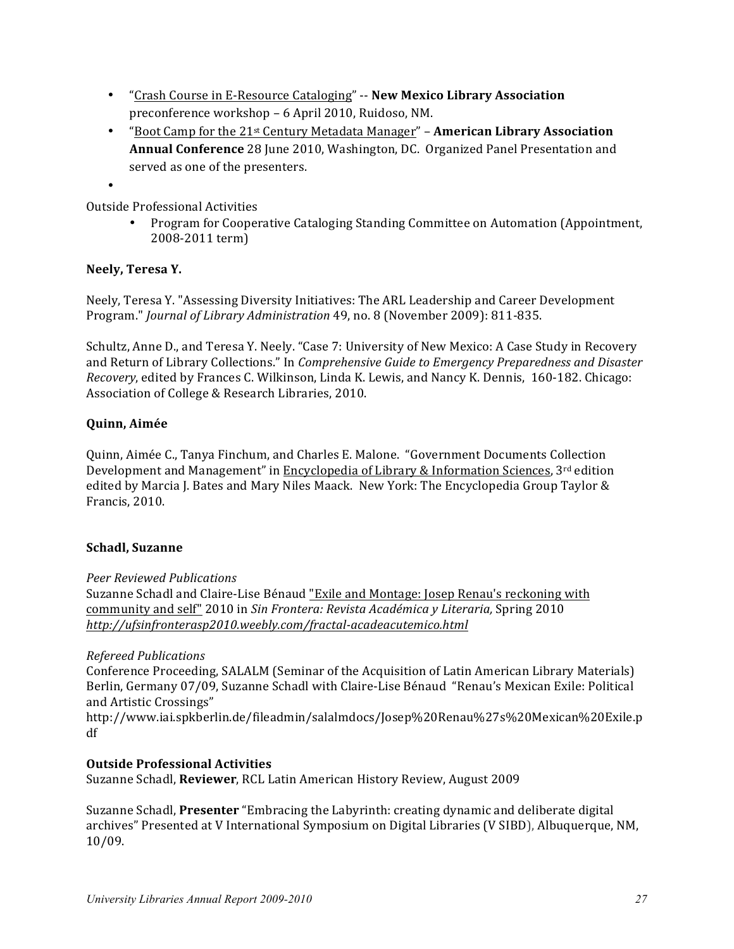- "Crash Course in E-Resource Cataloging" -- **New Mexico Library Association** preconference workshop - 6 April 2010, Ruidoso, NM.
- "Boot Camp for the 21<sup>st</sup> Century Metadata Manager" **American Library Association Annual Conference** 28 June 2010, Washington, DC. Organized Panel Presentation and served as one of the presenters.
- •

Outside Professional Activities

• Program for Cooperative Cataloging Standing Committee on Automation (Appointment, 2008-2011 term)

# **Neely, Teresa Y.**

Neely, Teresa Y. "Assessing Diversity Initiatives: The ARL Leadership and Career Development Program." *Journal of Library Administration* 49, no. 8 (November 2009): 811-835.

Schultz, Anne D., and Teresa Y. Neely. "Case 7: University of New Mexico: A Case Study in Recovery and Return of Library Collections." In *Comprehensive Guide to Emergency Preparedness and Disaster Recovery*, edited by Frances C. Wilkinson, Linda K. Lewis, and Nancy K. Dennis, 160-182. Chicago: Association of College & Research Libraries, 2010.

# **Quinn, Aimée**

Quinn, Aimée C., Tanya Finchum, and Charles E. Malone. "Government Documents Collection Development and Management" in Encyclopedia of Library & Information Sciences,  $3^{rd}$  edition edited by Marcia J. Bates and Mary Niles Maack. New York: The Encyclopedia Group Taylor & Francis, 2010.

# **Schadl, Suzanne**

# *Peer Reviewed Publications*

Suzanne Schadl and Claire-Lise Bénaud "Exile and Montage: Josep Renau's reckoning with community and self" 2010 in *Sin Frontera: Revista Académica y Literaria*, Spring 2010 *http://ufsinfronterasp2010.weebly.com/fractal-acadeacutemico.html*

# *Refereed Publications*

Conference Proceeding, SALALM (Seminar of the Acquisition of Latin American Library Materials) Berlin, Germany 07/09, Suzanne Schadl with Claire-Lise Bénaud "Renau's Mexican Exile: Political and Artistic Crossings"

http://www.iai.spkberlin.de/fileadmin/salalmdocs/Josep%20Renau%27s%20Mexican%20Exile.p df

# **Outside Professional Activities**

Suzanne Schadl, **Reviewer**, RCL Latin American History Review, August 2009

Suzanne Schadl, **Presenter** "Embracing the Labyrinth: creating dynamic and deliberate digital archives" Presented at V International Symposium on Digital Libraries (V SIBD), Albuquerque, NM, 10/09.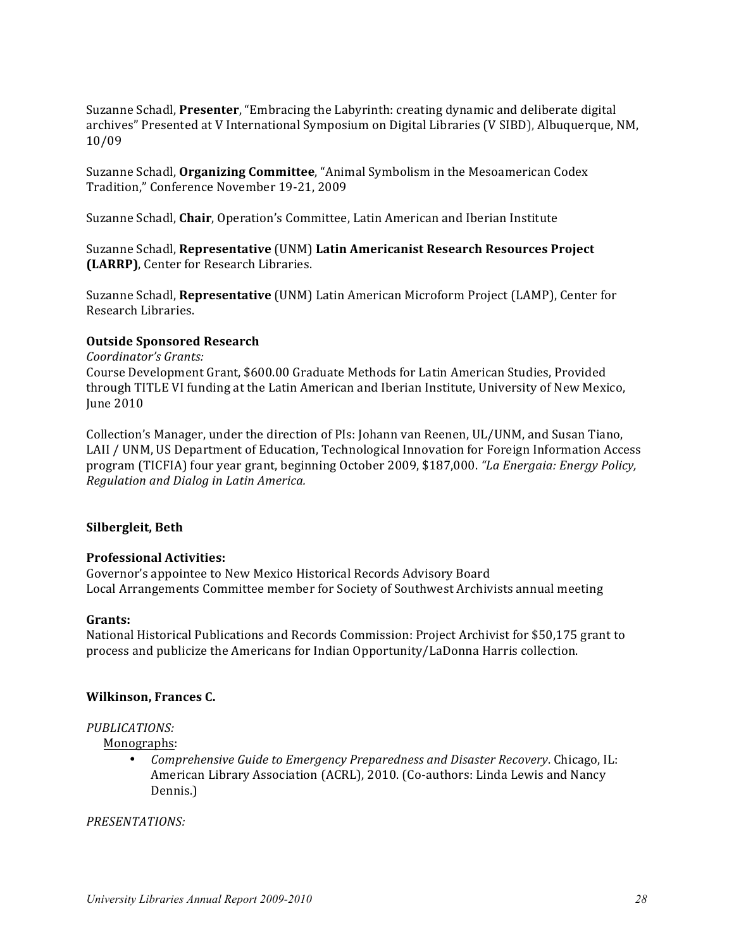Suzanne Schadl, **Presenter**, "Embracing the Labyrinth: creating dynamic and deliberate digital archives" Presented at V International Symposium on Digital Libraries (V SIBD), Albuquerque, NM, 10/09

Suzanne Schadl, Organizing Committee, "Animal Symbolism in the Mesoamerican Codex Tradition," Conference November 19-21, 2009

Suzanne Schadl, Chair, Operation's Committee, Latin American and Iberian Institute

Suzanne Schadl, **Representative** (UNM) **Latin Americanist Research Resources Project (LARRP)**, Center for Research Libraries.

Suzanne Schadl, **Representative** (UNM) Latin American Microform Project (LAMP), Center for Research Libraries. 

#### **Outside Sponsored Research**

*Coordinator's Grants:*

Course Development Grant, \$600.00 Graduate Methods for Latin American Studies, Provided through TITLE VI funding at the Latin American and Iberian Institute, University of New Mexico, June 2010

Collection's Manager, under the direction of PIs: Johann van Reenen, UL/UNM, and Susan Tiano, LAII / UNM, US Department of Education, Technological Innovation for Foreign Information Access program (TICFIA) four year grant, beginning October 2009, \$187,000. "La Energaia: Energy Policy, *Regulation and Dialog in Latin America.*

#### **Silbergleit, Beth**

#### **Professional Activities:**

Governor's appointee to New Mexico Historical Records Advisory Board Local Arrangements Committee member for Society of Southwest Archivists annual meeting

#### **Grants:**

National Historical Publications and Records Commission: Project Archivist for \$50,175 grant to process and publicize the Americans for Indian Opportunity/LaDonna Harris collection.

#### **Wilkinson, Frances C.**

#### *PUBLICATIONS:*

 Monographs:

• *Comprehensive Guide to Emergency Preparedness and Disaster Recovery*. Chicago, IL: American Library Association (ACRL), 2010. (Co-authors: Linda Lewis and Nancy Dennis.)

#### *PRESENTATIONS:*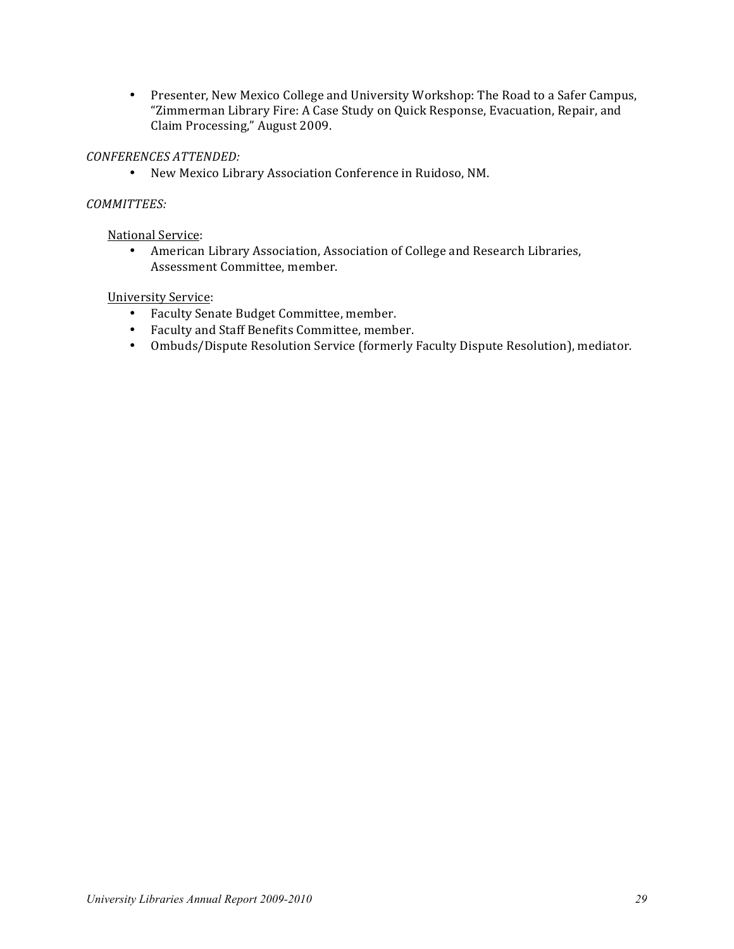• Presenter, New Mexico College and University Workshop: The Road to a Safer Campus, "Zimmerman Library Fire: A Case Study on Quick Response, Evacuation, Repair, and Claim Processing," August 2009.

# *CONFERENCES ATTENDED:*

• New Mexico Library Association Conference in Ruidoso, NM.

# *COMMITTEES:*

**National Service:** 

• American Library Association, Association of College and Research Libraries, Assessment Committee, member.

# University Service:

- Faculty Senate Budget Committee, member.
- Faculty and Staff Benefits Committee, member.
- Ombuds/Dispute Resolution Service (formerly Faculty Dispute Resolution), mediator.